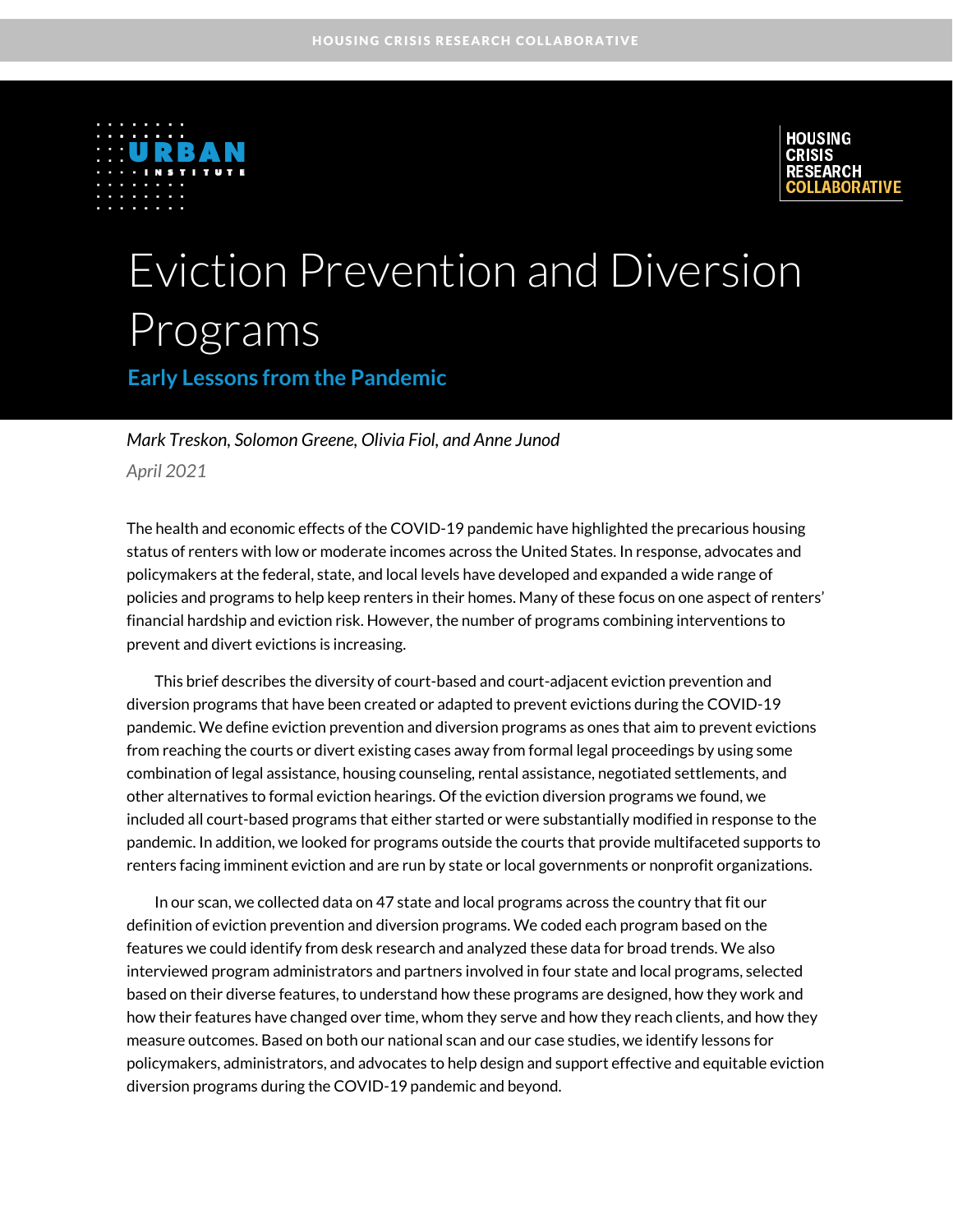



# Eviction Prevention and Diversion Programs

**Early Lessons from the Pandemic**

#### *Mark Treskon, Solomon Greene, Olivia Fiol, and Anne Junod April 2021*

The health and economic effects of the COVID-19 pandemic have highlighted the precarious housing status of renters with low or moderate incomes across the United States. In response, advocates and policymakers at the federal, state, and local levels have developed and expanded a wide range of policies and programs to help keep renters in their homes. Many of these focus on one aspect of renters' financial hardship and eviction risk. However, the number of programs combining interventions to prevent and divert evictions is increasing.

This brief describes the diversity of court-based and court-adjacent eviction prevention and diversion programs that have been created or adapted to prevent evictions during the COVID-19 pandemic. We define eviction prevention and diversion programs as ones that aim to prevent evictions from reaching the courts or divert existing cases away from formal legal proceedings by using some combination of legal assistance, housing counseling, rental assistance, negotiated settlements, and other alternatives to formal eviction hearings. Of the eviction diversion programs we found, we included all court-based programs that either started or were substantially modified in response to the pandemic. In addition, we looked for programs outside the courts that provide multifaceted supports to renters facing imminent eviction and are run by state or local governments or nonprofit organizations.

In our scan, we collected data on 47 state and local programs across the country that fit our definition of eviction prevention and diversion programs. We coded each program based on the features we could identify from desk research and analyzed these data for broad trends. We also interviewed program administrators and partners involved in four state and local programs, selected based on their diverse features, to understand how these programs are designed, how they work and how their features have changed over time, whom they serve and how they reach clients, and how they measure outcomes. Based on both our national scan and our case studies, we identify lessons for policymakers, administrators, and advocates to help design and support effective and equitable eviction diversion programs during the COVID-19 pandemic and beyond.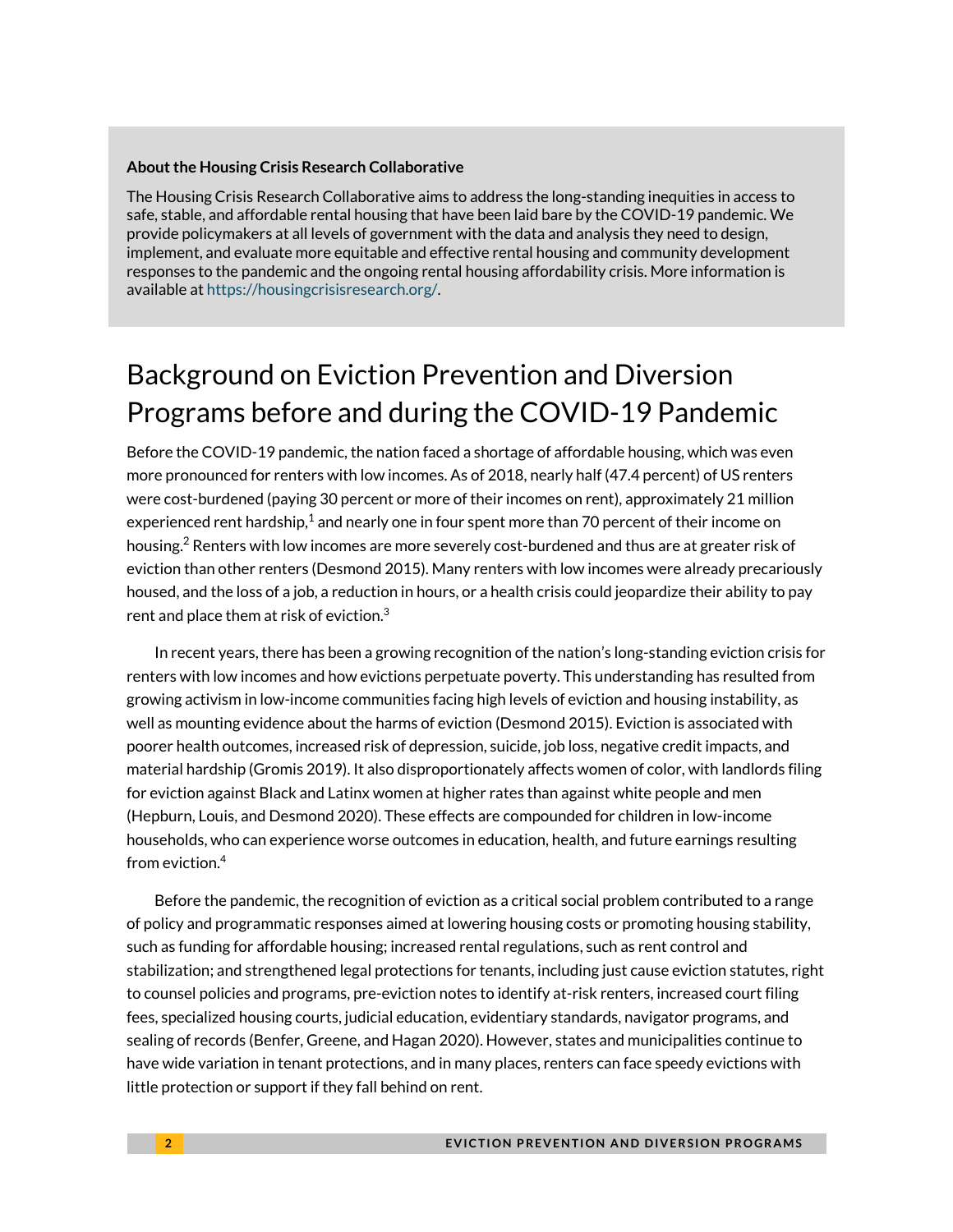#### **About the Housing Crisis Research Collaborative**

The Housing Crisis Research Collaborative aims to address the long-standing inequities in access to safe, stable, and affordable rental housing that have been laid bare by the COVID-19 pandemic. We provide policymakers at all levels of government with the data and analysis they need to design, implement, and evaluate more equitable and effective rental housing and community development responses to the pandemic and the ongoing rental housing affordability crisis. More information is available at [https://housingcrisisresearch.org/.](https://housingcrisisresearch.org/)

# Background on Eviction Prevention and Diversion Programs before and during the COVID-19 Pandemic

Before the COVID-19 pandemic, the nation faced a shortage of affordable housing, which was even more pronounced for renters with low incomes. As of 2018, nearly half (47.4 percent) of US renters were cost-burdened (paying 30 percent or more of their incomes on rent), approximately 21 million experienced rent hardship, $^1$  and nearly one in four spent more than 70 percent of their income on housing.<sup>2</sup> Renters with low incomes are more severely cost-burdened and thus are at greater risk of eviction than other renters (Desmond 2015). Many renters with low incomes were already precariously housed, and the loss of a job, a reduction in hours, or a health crisis could jeopardize their ability to pay rent and place them at risk of eviction. $3$ 

In recent years, there has been a growing recognition of the nation's long-standing eviction crisis for renters with low incomes and how evictions perpetuate poverty. This understanding has resulted from growing activism in low-income communities facing high levels of eviction and housing instability, as well as mounting evidence about the harms of eviction (Desmond 2015). Eviction is associated with poorer health outcomes, increased risk of depression, suicide, job loss, negative credit impacts, and material hardship (Gromis 2019). It also disproportionately affects women of color, with landlords filing for eviction against Black and Latinx women at higher rates than against white people and men (Hepburn, Louis, and Desmond 2020). These effects are compounded for children in low-income households, who can experience worse outcomes in education, health, and future earnings resulting from eviction.<sup>4</sup>

Before the pandemic, the recognition of eviction as a critical social problem contributed to a range of policy and programmatic responses aimed at lowering housing costs or promoting housing stability, such as funding for affordable housing; increased rental regulations, such as rent control and stabilization; and strengthened legal protections for tenants, including just cause eviction statutes, right to counsel policies and programs, pre-eviction notes to identify at-risk renters, increased court filing fees, specialized housing courts, judicial education, evidentiary standards, navigator programs, and sealing of records (Benfer, Greene, and Hagan 2020). However, states and municipalities continue to have wide variation in tenant protections, and in many places, renters can face speedy evictions with little protection or support if they fall behind on rent.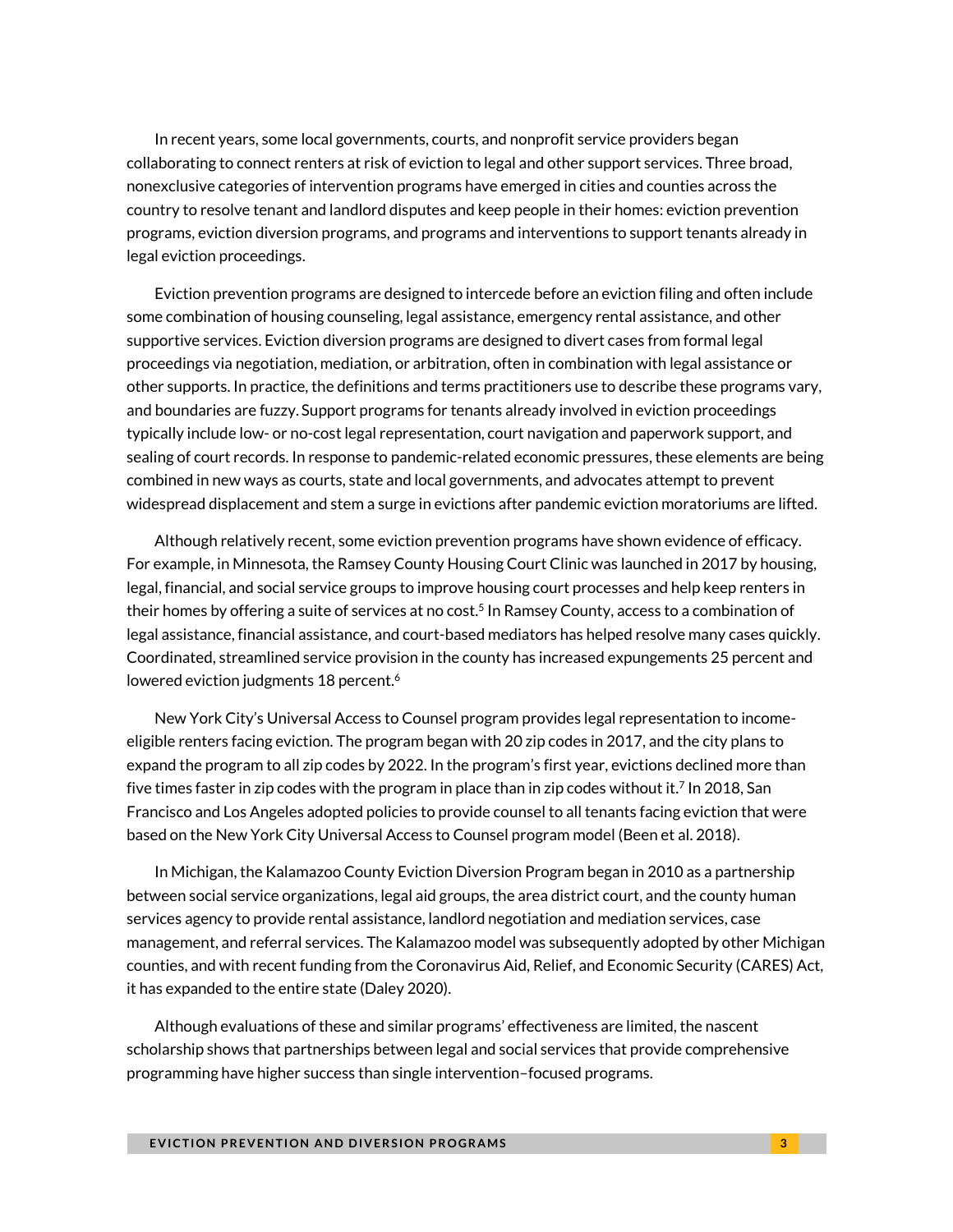In recent years, some local governments, courts, and nonprofit service providers began collaborating to connect renters at risk of eviction to legal and other support services. Three broad, nonexclusive categories of intervention programs have emerged in cities and counties across the country to resolve tenant and landlord disputes and keep people in their homes: eviction prevention programs, eviction diversion programs, and programs and interventions to support tenants already in legal eviction proceedings.

Eviction prevention programs are designed to intercede before an eviction filing and often include some combination of housing counseling, legal assistance, emergency rental assistance, and other supportive services. Eviction diversion programs are designed to divert cases from formal legal proceedings via negotiation, mediation, or arbitration, often in combination with legal assistance or other supports. In practice, the definitions and terms practitioners use to describe these programs vary, and boundaries are fuzzy. Support programs for tenants already involved in eviction proceedings typically include low- or no-cost legal representation, court navigation and paperwork support, and sealing of court records. In response to pandemic-related economic pressures, these elements are being combined in new ways as courts, state and local governments, and advocates attempt to prevent widespread displacement and stem a surge in evictions after pandemic eviction moratoriums are lifted.

Although relatively recent, some eviction prevention programs have shown evidence of efficacy. For example, in Minnesota, the Ramsey County Housing Court Clinic was launched in 2017 by housing, legal, financial, and social service groups to improve housing court processes and help keep renters in their homes by offering a suite of services at no cost.<sup>5</sup> In Ramsey County, access to a combination of legal assistance, financial assistance, and court-based mediators has helped resolve many cases quickly. Coordinated, streamlined service provision in the county has increased expungements 25 percent and lowered eviction judgments 18 percent. $^6$ 

New York City's Universal Access to Counsel program provides legal representation to incomeeligible renters facing eviction. The program began with 20 zip codes in 2017, and the city plans to expand the program to all zip codes by 2022. In the program's first year, evictions declined more than five times faster in zip codes with the program in place than in zip codes without it.<sup>7</sup> In 2018, San Francisco and Los Angeles adopted policies to provide counsel to all tenants facing eviction that were based on the New York City Universal Access to Counsel program model (Been et al. 2018).

In Michigan, the Kalamazoo County Eviction Diversion Program began in 2010 as a partnership between social service organizations, legal aid groups, the area district court, and the county human services agency to provide rental assistance, landlord negotiation and mediation services, case management, and referral services. The Kalamazoo model was subsequently adopted by other Michigan counties, and with recent funding from the Coronavirus Aid, Relief, and Economic Security (CARES) Act, it has expanded to the entire state (Daley 2020).

Although evaluations of these and similar programs' effectiveness are limited, the nascent scholarship shows that partnerships between legal and social services that provide comprehensive programming have higher success than single intervention–focused programs.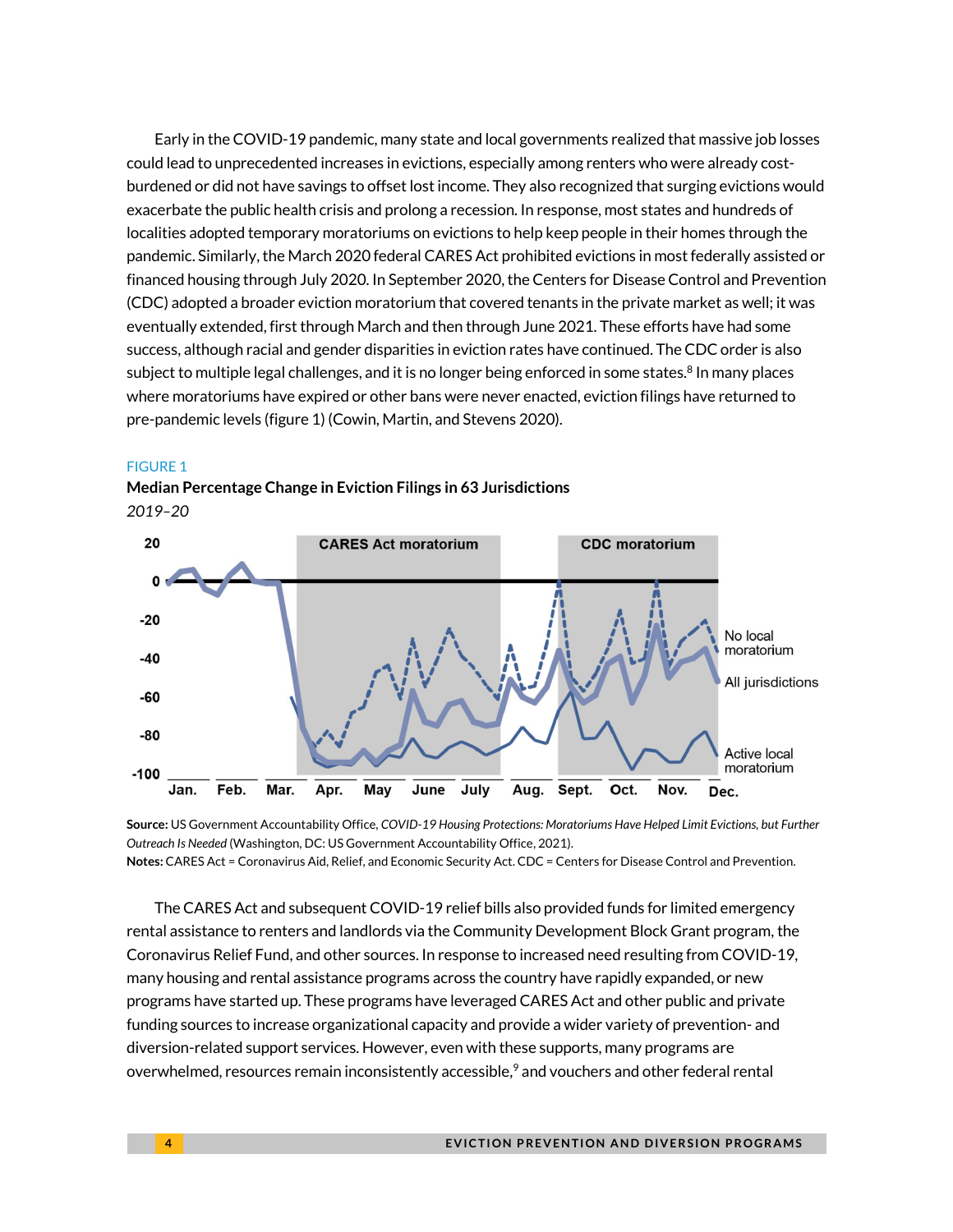Early in the COVID-19 pandemic, many state and local governments realized that massive job losses could lead to unprecedented increases in evictions, especially among renters who were already costburdened or did not have savings to offset lost income. They also recognized that surging evictions would exacerbate the public health crisis and prolong a recession. In response, most states and hundreds of localities adopted temporary moratoriums on evictions to help keep people in their homes through the pandemic. Similarly, the March 2020 federal CARES Act prohibited evictions in most federally assisted or financed housing through July 2020. In September 2020, the Centers for Disease Control and Prevention (CDC) adopted a broader eviction moratorium that covered tenants in the private market as well; it was eventually extended, first through March and then through June 2021. These efforts have had some success, although racial and gender disparities in eviction rates have continued. The CDC order is also subject to multiple legal challenges, and it is no longer being enforced in some states.<sup>8</sup> In many places where moratoriums have expired or other bans were never enacted, eviction filings have returned to pre-pandemic levels (figure 1) (Cowin, Martin, and Stevens 2020).

#### FIGURE 1



**Median Percentage Change in Eviction Filings in 63 Jurisdictions** *2019–20*

**Source:** US Government Accountability Office, *COVID-19 Housing Protections: Moratoriums Have Helped Limit Evictions, but Further Outreach Is Needed* (Washington, DC: US Government Accountability Office, 2021). **Notes:** CARES Act = Coronavirus Aid, Relief, and Economic Security Act. CDC = Centers for Disease Control and Prevention.

The CARES Act and subsequent COVID-19 relief bills also provided funds for limited emergency rental assistance to renters and landlords via the Community Development Block Grant program, the Coronavirus Relief Fund, and other sources. In response to increased need resulting from COVID-19, many housing and rental assistance programs across the country have rapidly expanded, or new programs have started up. These programs have leveraged CARES Act and other public and private funding sources to increase organizational capacity and provide a wider variety of prevention- and diversion-related support services. However, even with these supports, many programs are overwhelmed, resources remain inconsistently accessible,<sup>9</sup> and vouchers and other federal rental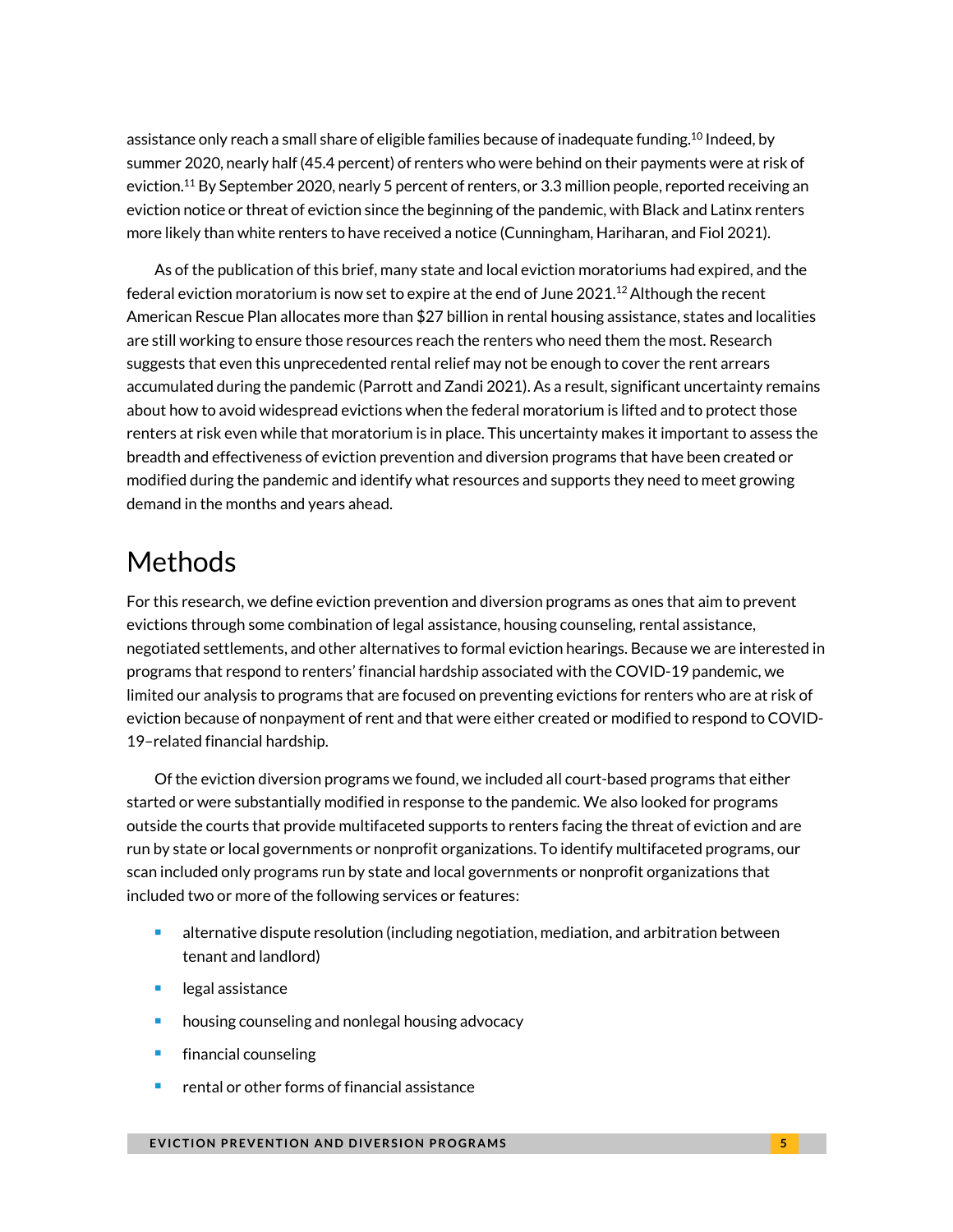assistance only reach a small share of eligible families because of inadequate funding.<sup>10</sup> Indeed, by summer 2020, nearly half (45.4 percent) of renters who were behind on their payments were at risk of eviction.<sup>11</sup> By September 2020, nearly 5 percent of renters, or 3.3 million people, reported receiving an eviction notice or threat of eviction since the beginning of the pandemic, with Black and Latinx renters more likely than white renters to have received a notice (Cunningham, Hariharan, and Fiol 2021).

As of the publication of this brief, many state and local eviction moratoriums had expired, and the federal eviction moratorium is now set to expire at the end of June  $2021<sup>12</sup>$  Although the recent American Rescue Plan allocates more than \$27 billion in rental housing assistance, states and localities are still working to ensure those resources reach the renters who need them the most. Research suggests that even this unprecedented rental relief may not be enough to cover the rent arrears accumulated during the pandemic (Parrott and Zandi 2021). As a result, significant uncertainty remains about how to avoid widespread evictions when the federal moratorium is lifted and to protect those renters at risk even while that moratorium is in place. This uncertainty makes it important to assess the breadth and effectiveness of eviction prevention and diversion programs that have been created or modified during the pandemic and identify what resources and supports they need to meet growing demand in the months and years ahead.

# Methods

For this research, we define eviction prevention and diversion programs as ones that aim to prevent evictions through some combination of legal assistance, housing counseling, rental assistance, negotiated settlements, and other alternatives to formal eviction hearings. Because we are interested in programs that respond to renters' financial hardship associated with the COVID-19 pandemic, we limited our analysis to programs that are focused on preventing evictions for renters who are at risk of eviction because of nonpayment of rent and that were either created or modified to respond to COVID-19–related financial hardship.

Of the eviction diversion programs we found, we included all court-based programs that either started or were substantially modified in response to the pandemic. We also looked for programs outside the courts that provide multifaceted supports to renters facing the threat of eviction and are run by state or local governments or nonprofit organizations. To identify multifaceted programs, our scan included only programs run by state and local governments or nonprofit organizations that included two or more of the following services or features:

- alternative dispute resolution (including negotiation, mediation, and arbitration between tenant and landlord)
- legal assistance
- housing counseling and nonlegal housing advocacy
- financial counseling
- rental or other forms of financial assistance

#### **EVICTION PREVENTION AND DIVERSION PROGRAMS EXAMPLE 2008 AND S**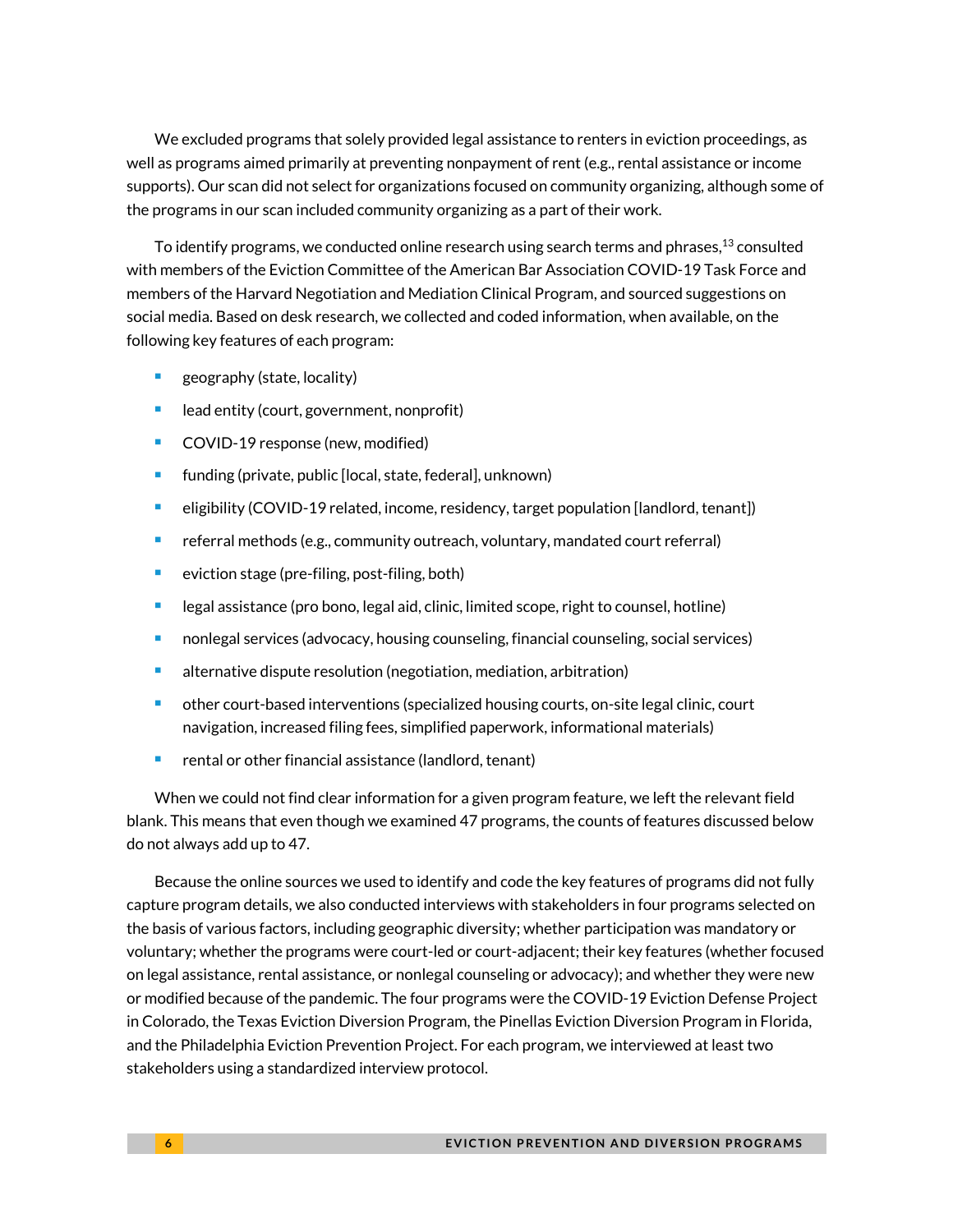We excluded programs that solely provided legal assistance to renters in eviction proceedings, as well as programs aimed primarily at preventing nonpayment of rent (e.g., rental assistance or income supports). Our scan did not select for organizations focused on community organizing, although some of the programs in our scan included community organizing as a part of their work.

To identify programs, we conducted online research using search terms and phrases,<sup>13</sup> consulted with members of the Eviction Committee of the American Bar Association COVID-19 Task Force and members of the Harvard Negotiation and Mediation Clinical Program, and sourced suggestions on social media. Based on desk research, we collected and coded information, when available, on the following key features of each program:

- <sup>◼</sup> geography (state, locality)
- lead entity (court, government, nonprofit)
- COVID-19 response (new, modified)
- funding (private, public [local, state, federal], unknown)
- eligibility (COVID-19 related, income, residency, target population [landlord, tenant])
- referral methods (e.g., community outreach, voluntary, mandated court referral)
- eviction stage (pre-filing, post-filing, both)
- legal assistance (pro bono, legal aid, clinic, limited scope, right to counsel, hotline)
- nonlegal services (advocacy, housing counseling, financial counseling, social services)
- alternative dispute resolution (negotiation, mediation, arbitration)
- other court-based interventions (specialized housing courts, on-site legal clinic, court navigation, increased filing fees, simplified paperwork, informational materials)
- rental or other financial assistance (landlord, tenant)

When we could not find clear information for a given program feature, we left the relevant field blank. This means that even though we examined 47 programs, the counts of features discussed below do not always add up to 47.

Because the online sources we used to identify and code the key features of programs did not fully capture program details, we also conducted interviews with stakeholders in four programs selected on the basis of various factors, including geographic diversity; whether participation was mandatory or voluntary; whether the programs were court-led or court-adjacent;their key features (whether focused on legal assistance, rental assistance, or nonlegal counseling or advocacy); and whether they were new or modified because of the pandemic. The four programs were the COVID-19 Eviction Defense Project in Colorado, the Texas Eviction Diversion Program, the Pinellas Eviction Diversion Program in Florida, and the Philadelphia Eviction Prevention Project. For each program, we interviewed at least two stakeholders using a standardized interview protocol.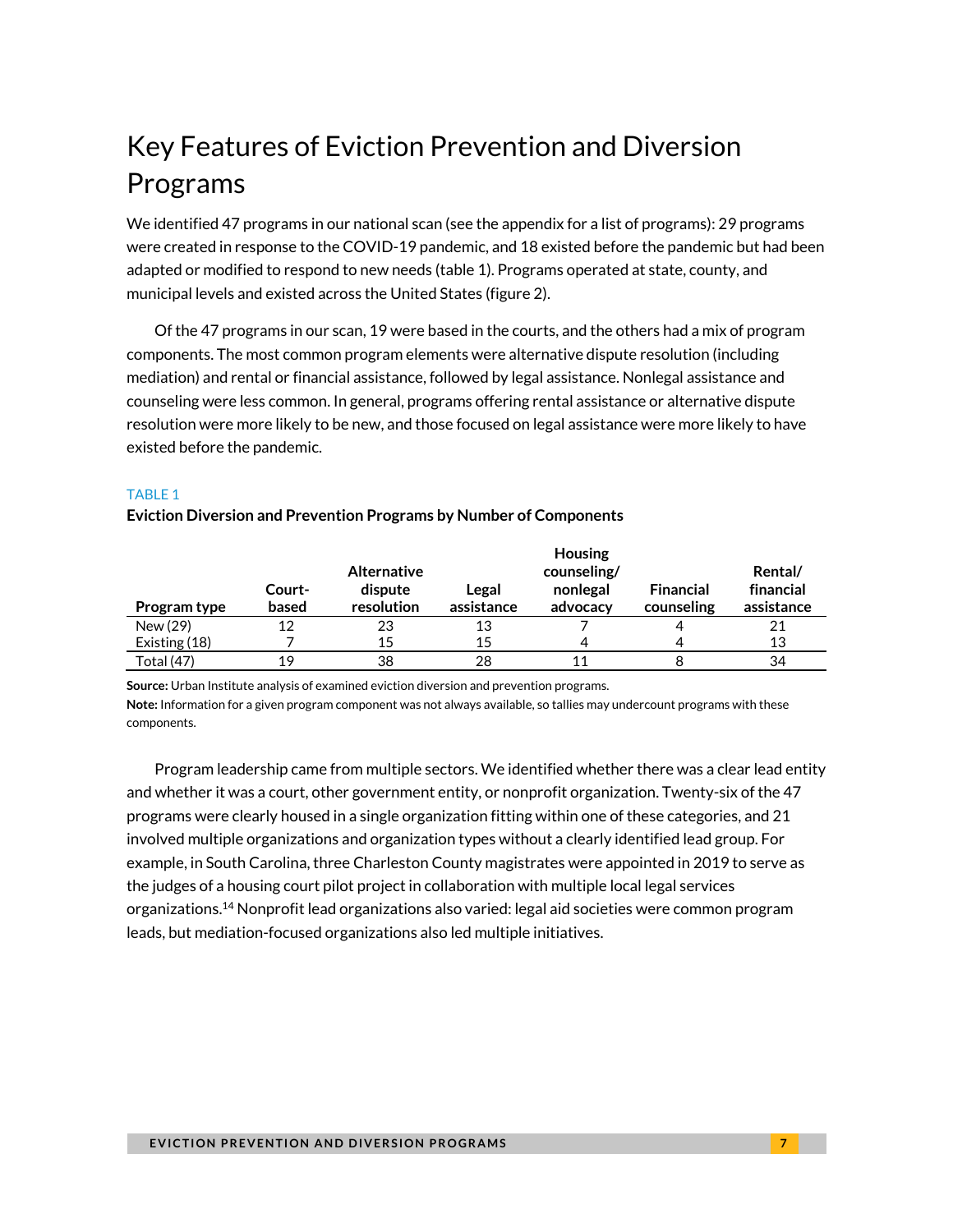# Key Features of Eviction Prevention and Diversion Programs

We identified 47 programs in our national scan (see the appendix for a list of programs): 29 programs were created in response to the COVID-19 pandemic, and 18 existed before the pandemic but had been adapted or modified to respond to new needs (table 1). Programs operated at state, county, and municipal levels and existed across the United States (figure 2).

Of the 47 programs in our scan, 19 were based in the courts, and the others had a mix of program components. The most common program elements were alternative dispute resolution (including mediation) and rental or financial assistance, followed by legal assistance. Nonlegal assistance and counseling were less common. In general, programs offering rental assistance or alternative dispute resolution were more likely to be new, and those focused on legal assistance were more likely to have existed before the pandemic.

#### TABLE 1

#### **Eviction Diversion and Prevention Programs by Number of Components**

|               | <b>Housing</b> |                    |            |             |                  |            |  |  |
|---------------|----------------|--------------------|------------|-------------|------------------|------------|--|--|
|               |                | <b>Alternative</b> |            | counseling/ |                  | Rental/    |  |  |
|               | Court-         | dispute            | Legal      | nonlegal    | <b>Financial</b> | financial  |  |  |
| Program type  | based          | resolution         | assistance | advocacy    | counseling       | assistance |  |  |
| New (29)      | 12             | 23                 | 13         |             |                  | 21         |  |  |
| Existing (18) |                | 15                 | 15         | 4           |                  | 13         |  |  |
| Total (47)    | 19             | 38                 | 28         | 11          |                  | 34         |  |  |

**Source:** Urban Institute analysis of examined eviction diversion and prevention programs.

**Note:** Information for a given program component was not always available, so tallies may undercount programs with these components.

Program leadership came from multiple sectors. We identified whether there was a clear lead entity and whether it was a court, other government entity, or nonprofit organization. Twenty-six of the 47 programs were clearly housed in a single organization fitting within one of these categories, and 21 involved multiple organizations and organization types without a clearly identified lead group. For example, in South Carolina, three Charleston County magistrates were appointed in 2019 to serve as the judges of a housing court pilot project in collaboration with multiple local legal services organizations.<sup>14</sup> Nonprofit lead organizations also varied: legal aid societies were common program leads, but mediation-focused organizations also led multiple initiatives.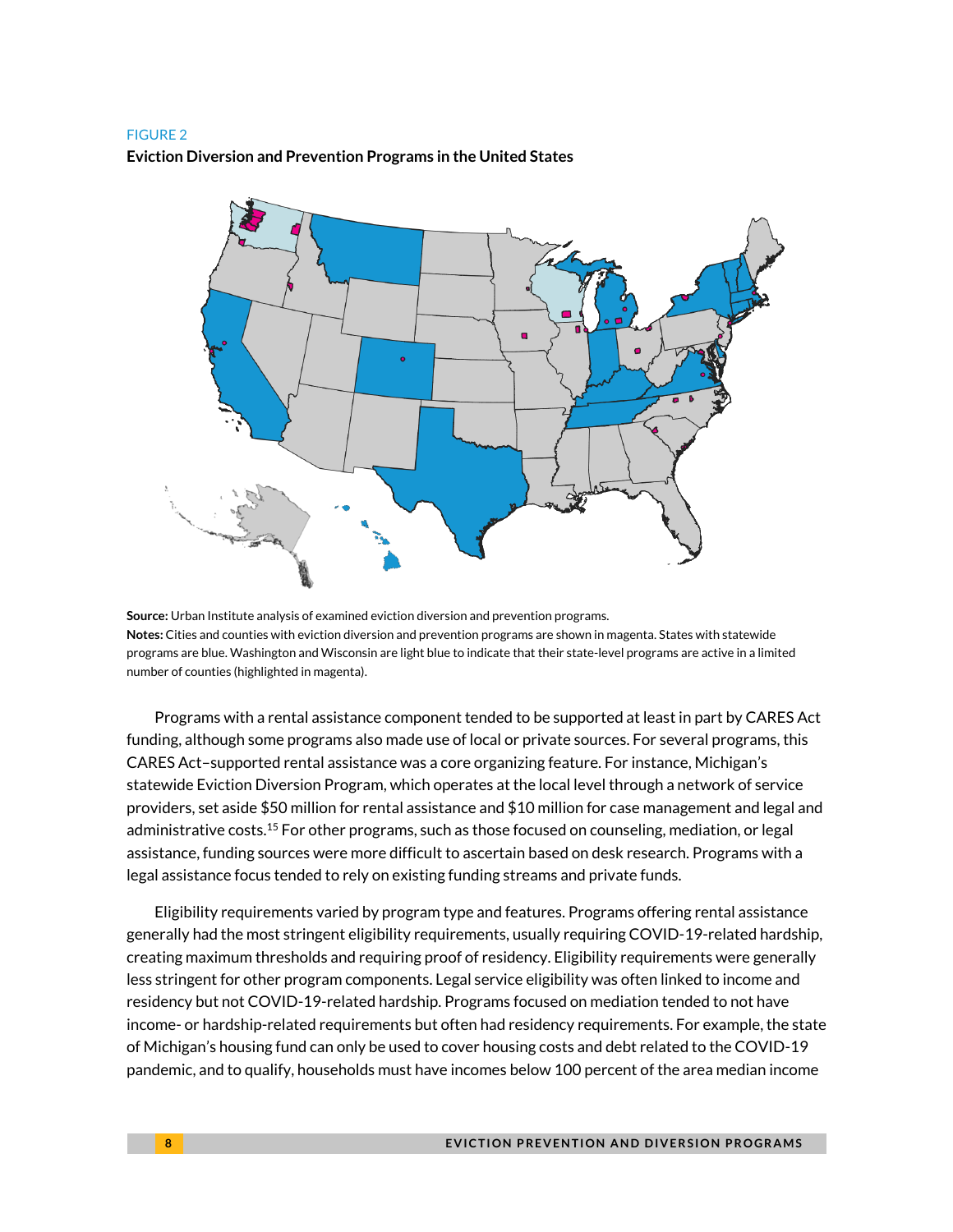#### FIGURE 2

#### **Eviction Diversion and Prevention Programs in the United States**



**Source:** Urban Institute analysis of examined eviction diversion and prevention programs. **Notes:** Cities and counties with eviction diversion and prevention programs are shown in magenta. States with statewide programs are blue. Washington and Wisconsin are light blue to indicate that their state-level programs are active in a limited number of counties (highlighted in magenta).

Programs with a rental assistance component tended to be supported at least in part by CARES Act funding, although some programs also made use of local or private sources. For several programs, this CARES Act–supported rental assistance was a core organizing feature. For instance, Michigan's statewide Eviction Diversion Program, which operates at the local level through a network of service providers, set aside \$50 million for rental assistance and \$10 million for case management and legal and administrative costs.<sup>15</sup> For other programs, such as those focused on counseling, mediation, or legal assistance, funding sources were more difficult to ascertain based on desk research. Programs with a legal assistance focus tended to rely on existing funding streams and private funds.

Eligibility requirements varied by program type and features. Programs offering rental assistance generally had the most stringent eligibility requirements, usually requiring COVID-19-related hardship, creating maximum thresholds and requiring proof of residency. Eligibility requirements were generally less stringent for other program components. Legal service eligibility was often linked to income and residency but not COVID-19-related hardship. Programs focused on mediation tended to not have income- or hardship-related requirements but often had residency requirements. For example, the state of Michigan's housing fund can only be used to cover housing costs and debt related to the COVID-19 pandemic, and to qualify, households must have incomes below 100 percent of the area median income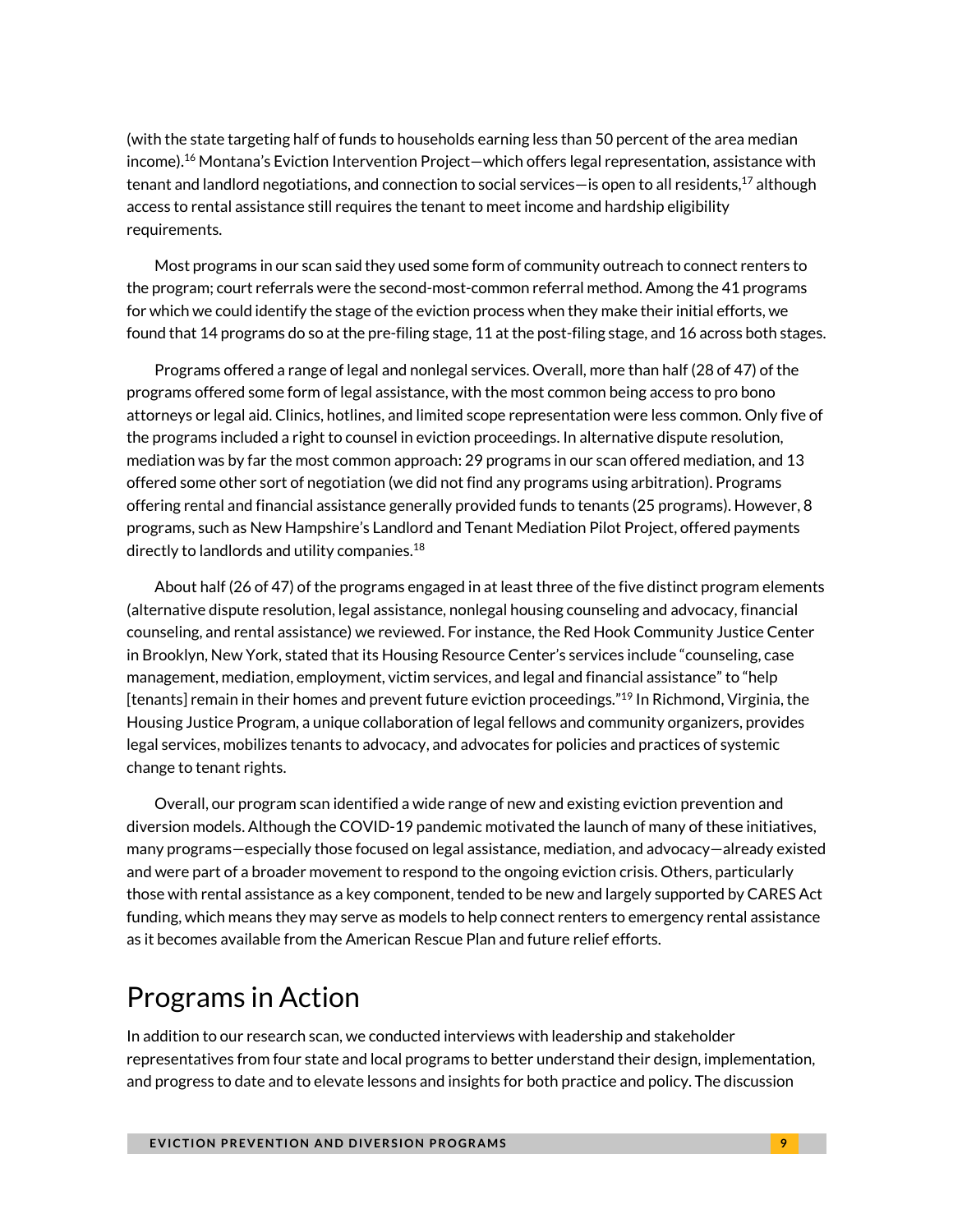(with the state targeting half of funds to households earning less than 50 percent of the area median income). $^{16}$  Montana's Eviction Intervention Project—which offers legal representation, assistance with tenant and landlord negotiations, and connection to social services—is open to all residents, $^{17}$  although access to rental assistance still requires the tenant to meet income and hardship eligibility requirements.

Most programs in our scan said they used some form of community outreach to connect renters to the program; court referrals were the second-most-common referral method. Among the 41 programs for which we could identify the stage of the eviction process when they make their initial efforts, we found that 14 programs do so at the pre-filing stage, 11 at the post-filing stage, and 16 across both stages.

Programs offered a range of legal and nonlegal services. Overall, more than half (28 of 47) of the programs offered some form of legal assistance, with the most common being access to pro bono attorneys or legal aid. Clinics, hotlines, and limited scope representation were less common. Only five of the programs included a right to counsel in eviction proceedings. In alternative dispute resolution, mediation was by far the most common approach: 29 programs in our scan offered mediation, and 13 offered some other sort of negotiation (we did not find any programs using arbitration). Programs offering rental and financial assistance generally provided funds to tenants (25 programs). However, 8 programs, such as New Hampshire's Landlord and Tenant Mediation Pilot Project, offered payments directly to landlords and utility companies.<sup>18</sup>

About half (26 of 47) of the programs engaged in at least three of the five distinct program elements (alternative dispute resolution, legal assistance, nonlegal housing counseling and advocacy, financial counseling, and rental assistance) we reviewed. For instance, the Red Hook Community Justice Center in Brooklyn, New York, stated that its Housing Resource Center's services include "counseling, case management, mediation, employment, victim services, and legal and financial assistance" to "help [tenants] remain in their homes and prevent future eviction proceedings." <sup>19</sup> In Richmond, Virginia, the Housing Justice Program, a unique collaboration of legal fellows and community organizers, provides legal services, mobilizes tenants to advocacy, and advocates for policies and practices of systemic change to tenant rights.

Overall, our program scan identified a wide range of new and existing eviction prevention and diversion models. Although the COVID-19 pandemic motivated the launch of many of these initiatives, many programs—especially those focused on legal assistance, mediation, and advocacy—already existed and were part of a broader movement to respond to the ongoing eviction crisis. Others, particularly those with rental assistance as a key component, tended to be new and largely supported by CARES Act funding, which means they may serve as models to help connect renters to emergency rental assistance as it becomes available from the American Rescue Plan and future relief efforts.

# Programs in Action

In addition to our research scan, we conducted interviews with leadership and stakeholder representatives from four state and local programs to better understand their design, implementation, and progress to date and to elevate lessons and insights for both practice and policy. The discussion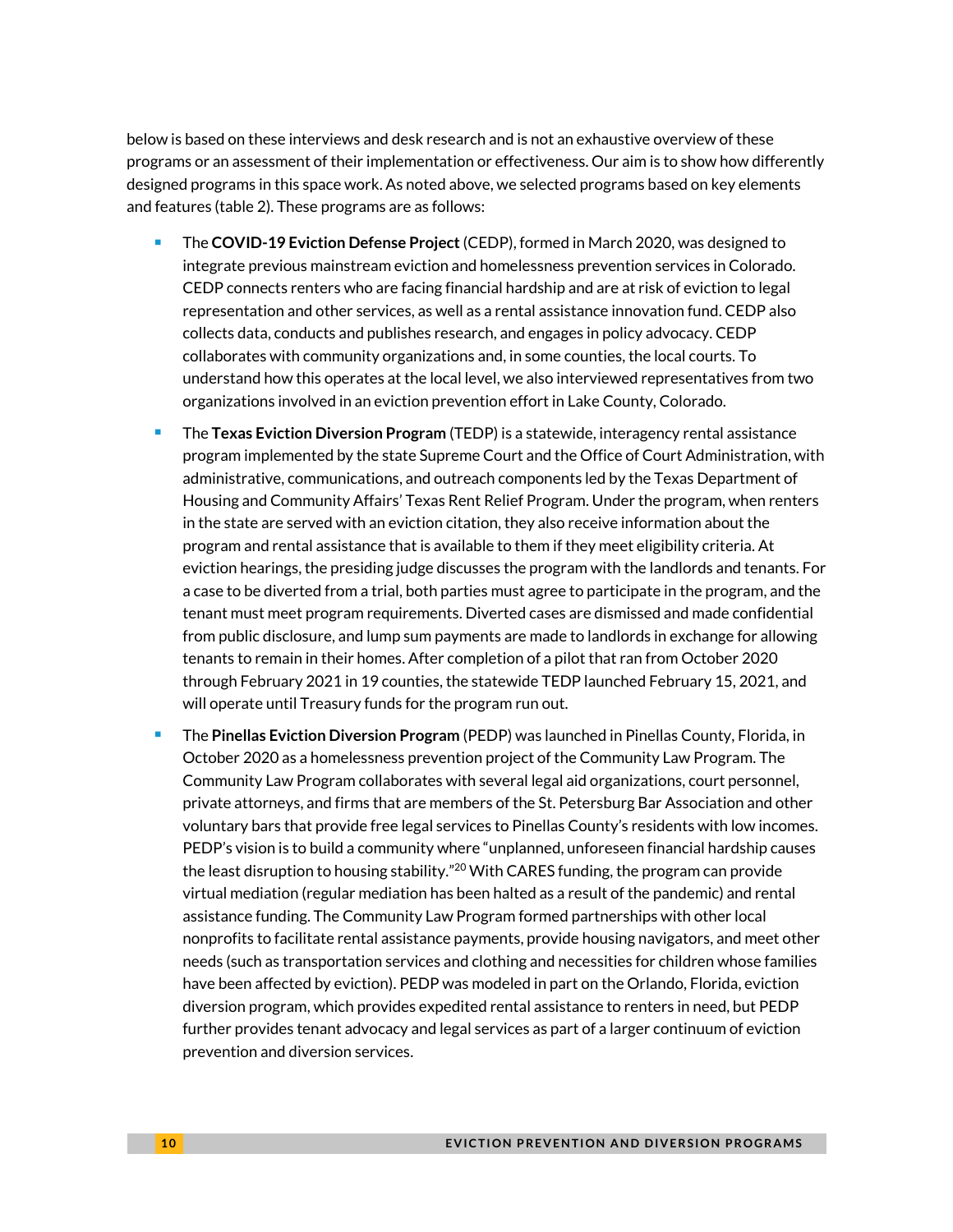below is based on these interviews and desk research and is not an exhaustive overview of these programs or an assessment of their implementation or effectiveness. Our aim is to show how differently designed programs in this space work. As noted above, we selected programs based on key elements and features (table 2). These programs are as follows:

- The **COVID-19 Eviction Defense Project** (CEDP), formed in March 2020, was designed to integrate previous mainstream eviction and homelessness prevention services in Colorado. CEDP connects renters who are facing financial hardship and are at risk of eviction to legal representation and other services, as well as a rental assistance innovation fund. CEDP also collects data, conducts and publishes research, and engages in policy advocacy. CEDP collaborates with community organizations and, in some counties, the local courts. To understand how this operates at the local level, we also interviewed representatives from two organizations involved in an eviction prevention effort in Lake County, Colorado.
- <sup>◼</sup> The **Texas Eviction Diversion Program** (TEDP) is a statewide, interagency rental assistance program implemented by the state Supreme Court and the Office of Court Administration, with administrative, communications, and outreach components led by the Texas Department of Housing and Community Affairs' Texas Rent Relief Program. Under the program, when renters in the state are served with an eviction citation, they also receive information about the program and rental assistance that is available to them if they meet eligibility criteria. At eviction hearings, the presiding judge discusses the program with the landlords and tenants. For a case to be diverted from a trial, both parties must agree to participate in the program, and the tenant must meet program requirements. Diverted cases are dismissed and made confidential from public disclosure, and lump sum payments are made to landlords in exchange for allowing tenants to remain in their homes. After completion of a pilot that ran from October 2020 through February 2021 in 19 counties, the statewide TEDP launched February 15, 2021, and will operate until Treasury funds for the program run out.
- <sup>◼</sup> The **Pinellas Eviction Diversion Program** (PEDP) was launched in Pinellas County, Florida, in October 2020 as a homelessness prevention project of the Community Law Program. The Community Law Program collaborates with several legal aid organizations, court personnel, private attorneys, and firms that are members of the St. Petersburg Bar Association and other voluntary bars that provide free legal services to Pinellas County's residents with low incomes. PEDP's vision is to build a community where "unplanned, unforeseen financial hardship causes the least disruption to housing stability."<sup>20</sup> With CARES funding, the program can provide virtual mediation (regular mediation has been halted as a result of the pandemic) and rental assistance funding. The Community Law Program formed partnerships with other local nonprofits to facilitate rental assistance payments, provide housing navigators, and meet other needs (such as transportation services and clothing and necessities for children whose families have been affected by eviction). PEDP was modeled in part on the Orlando, Florida, eviction diversion program, which provides expedited rental assistance to renters in need, but PEDP further provides tenant advocacy and legal services as part of a larger continuum of eviction prevention and diversion services.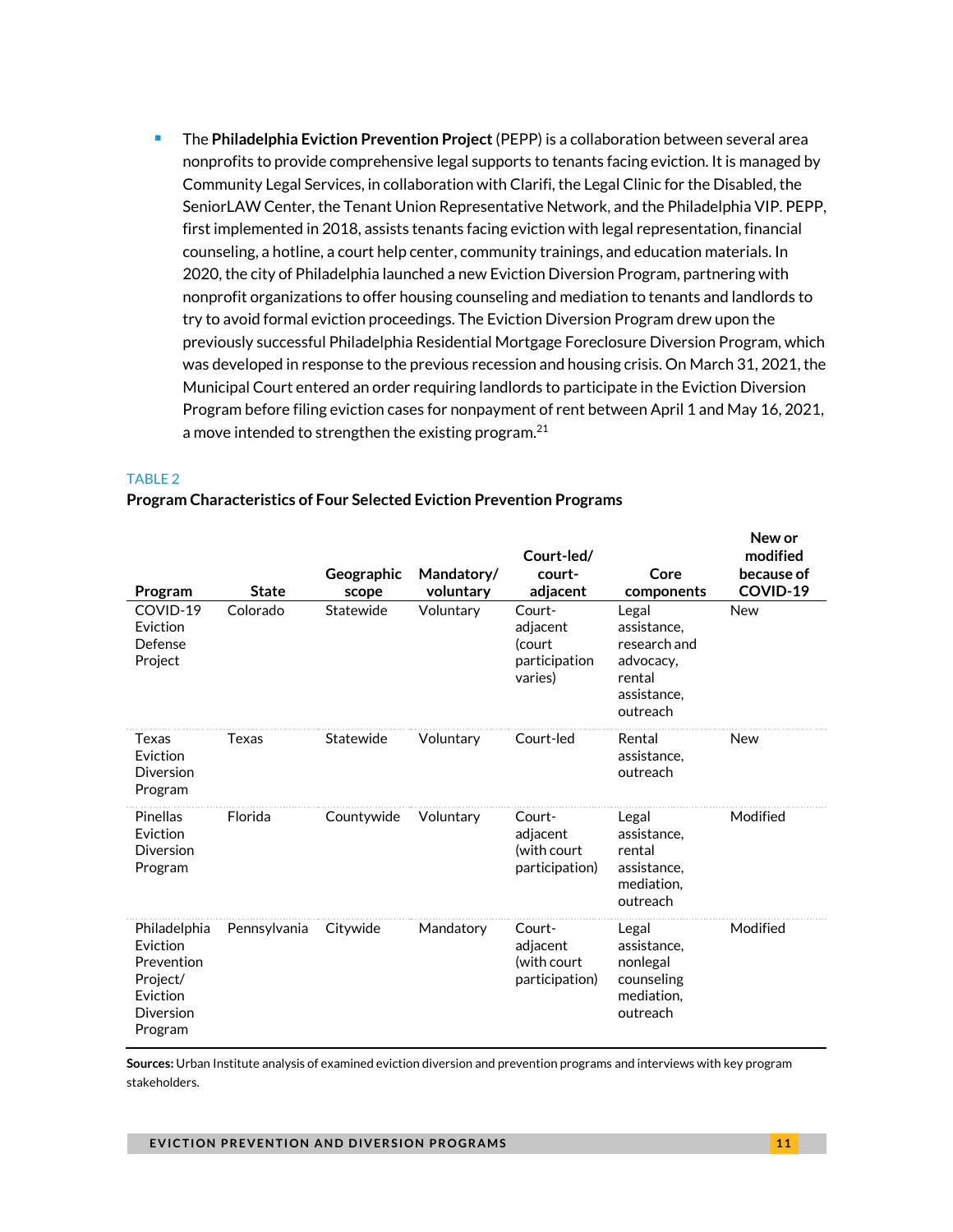■ The **Philadelphia Eviction Prevention Project** (PEPP) is a collaboration between several area nonprofits to provide comprehensive legal supports to tenants facing eviction. It is managed by Community Legal Services, in collaboration with Clarifi, the Legal Clinic for the Disabled, the SeniorLAW Center, the Tenant Union Representative Network, and the Philadelphia VIP. PEPP, first implemented in 2018, assists tenants facing eviction with legal representation, financial counseling, a hotline, a court help center, community trainings, and education materials. In 2020, the city of Philadelphia launched a new Eviction Diversion Program, partnering with nonprofit organizations to offer housing counseling and mediation to tenants and landlords to try to avoid formal eviction proceedings. The Eviction Diversion Program drew upon the previously successful Philadelphia Residential Mortgage Foreclosure Diversion Program, which was developed in response to the previous recession and housing crisis. On March 31, 2021, the Municipal Court entered an order requiring landlords to participate in the Eviction Diversion Program before filing eviction cases for nonpayment of rent between April 1 and May 16, 2021, a move intended to strengthen the existing program.<sup>21</sup>

#### TABLE 2

#### **Program Characteristics of Four Selected Eviction Prevention Programs**

| Program                                                                                | <b>State</b> | Geographic<br>scope | Mandatory/<br>voluntary | Court-led/<br>court-<br>adjacent                         | Core<br>components                                                                     | <b>INCM OF</b><br>modified<br>because of<br>COVID-19 |
|----------------------------------------------------------------------------------------|--------------|---------------------|-------------------------|----------------------------------------------------------|----------------------------------------------------------------------------------------|------------------------------------------------------|
| COVID-19<br>Eviction<br>Defense<br>Project                                             | Colorado     | Statewide           | Voluntary               | Court-<br>adjacent<br>(court<br>participation<br>varies) | Legal<br>assistance.<br>research and<br>advocacy,<br>rental<br>assistance.<br>outreach | <b>New</b>                                           |
| Texas<br>Eviction<br>Diversion<br>Program                                              | Texas        | Statewide           | Voluntary               | Court-led                                                | Rental<br>assistance.<br>outreach                                                      | New                                                  |
| <b>Pinellas</b><br>Eviction<br>Diversion<br>Program                                    | Florida      | Countywide          | Voluntary               | Court-<br>adjacent<br>(with court<br>participation)      | Legal<br>assistance,<br>rental<br>assistance,<br>mediation,<br>outreach                | Modified                                             |
| Philadelphia<br>Eviction<br>Prevention<br>Project/<br>Eviction<br>Diversion<br>Program | Pennsylvania | Citywide            | Mandatory               | Court-<br>adjacent<br>(with court<br>participation)      | Legal<br>assistance,<br>nonlegal<br>counseling<br>mediation,<br>outreach               | Modified                                             |

**Sources:** Urban Institute analysis of examined eviction diversion and prevention programs and interviews with key program stakeholders.

**New or**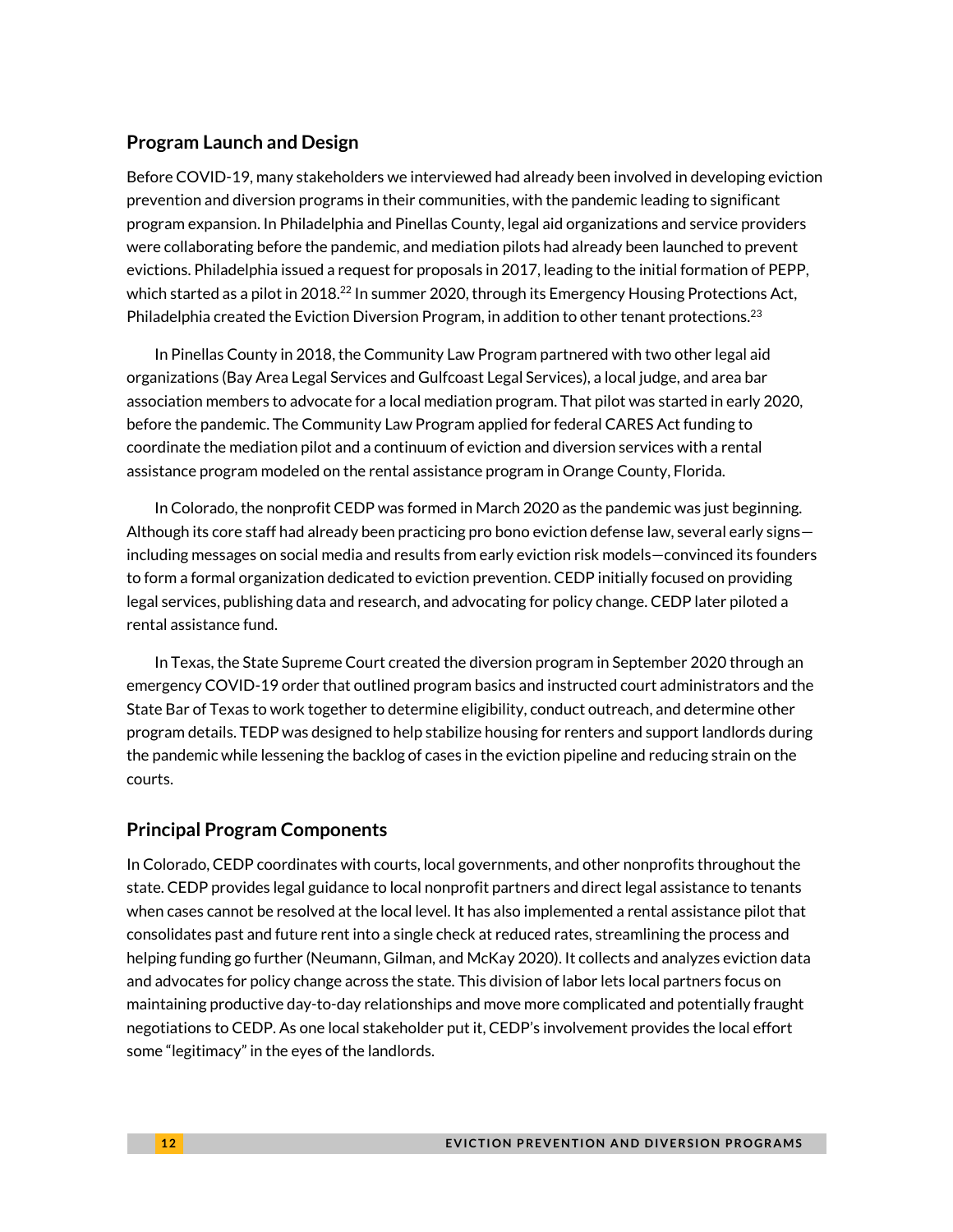#### **Program Launch and Design**

Before COVID-19, many stakeholders we interviewed had already been involved in developing eviction prevention and diversion programs in their communities, with the pandemic leading to significant program expansion. In Philadelphia and Pinellas County, legal aid organizations and service providers were collaborating before the pandemic, and mediation pilots had already been launched to prevent evictions. Philadelphia issued a request for proposals in 2017, leading to the initial formation of PEPP, which started as a pilot in 2018.<sup>22</sup> In summer 2020, through its Emergency Housing Protections Act, Philadelphia created the Eviction Diversion Program, in addition to other tenant protections.<sup>23</sup>

In Pinellas County in 2018, the Community Law Program partnered with two other legal aid organizations (Bay Area Legal Services and Gulfcoast Legal Services), a local judge, and area bar association members to advocate for a local mediation program. That pilot was started in early 2020, before the pandemic. The Community Law Program applied for federal CARES Act funding to coordinate the mediation pilot and a continuum of eviction and diversion services with a rental assistance program modeled on the rental assistance program in Orange County, Florida.

In Colorado, the nonprofit CEDP was formed in March 2020 as the pandemic was just beginning. Although its core staff had already been practicing pro bono eviction defense law, several early signs including messages on social media and results from early eviction risk models—convinced its founders to form a formal organization dedicated to eviction prevention. CEDP initially focused on providing legal services, publishing data and research, and advocating for policy change. CEDP later piloted a rental assistance fund.

In Texas, the State Supreme Court created the diversion program in September 2020 through an emergency COVID-19 order that outlined program basics and instructed court administrators and the State Bar of Texas to work together to determine eligibility, conduct outreach, and determine other program details. TEDP was designed to help stabilize housing for renters and support landlords during the pandemic while lessening the backlog of cases in the eviction pipeline and reducing strain on the courts.

#### **Principal Program Components**

In Colorado, CEDP coordinates with courts, local governments, and other nonprofits throughout the state. CEDP provides legal guidance to local nonprofit partners and direct legal assistance to tenants when cases cannot be resolved at the local level. It has also implemented a rental assistance pilot that consolidates past and future rent into a single check at reduced rates, streamlining the process and helping funding go further (Neumann, Gilman, and McKay 2020). It collects and analyzes eviction data and advocates for policy change across the state. This division of labor lets local partners focus on maintaining productive day-to-day relationships and move more complicated and potentially fraught negotiations to CEDP. As one local stakeholder put it, CEDP's involvement provides the local effort some "legitimacy" in the eyes of the landlords.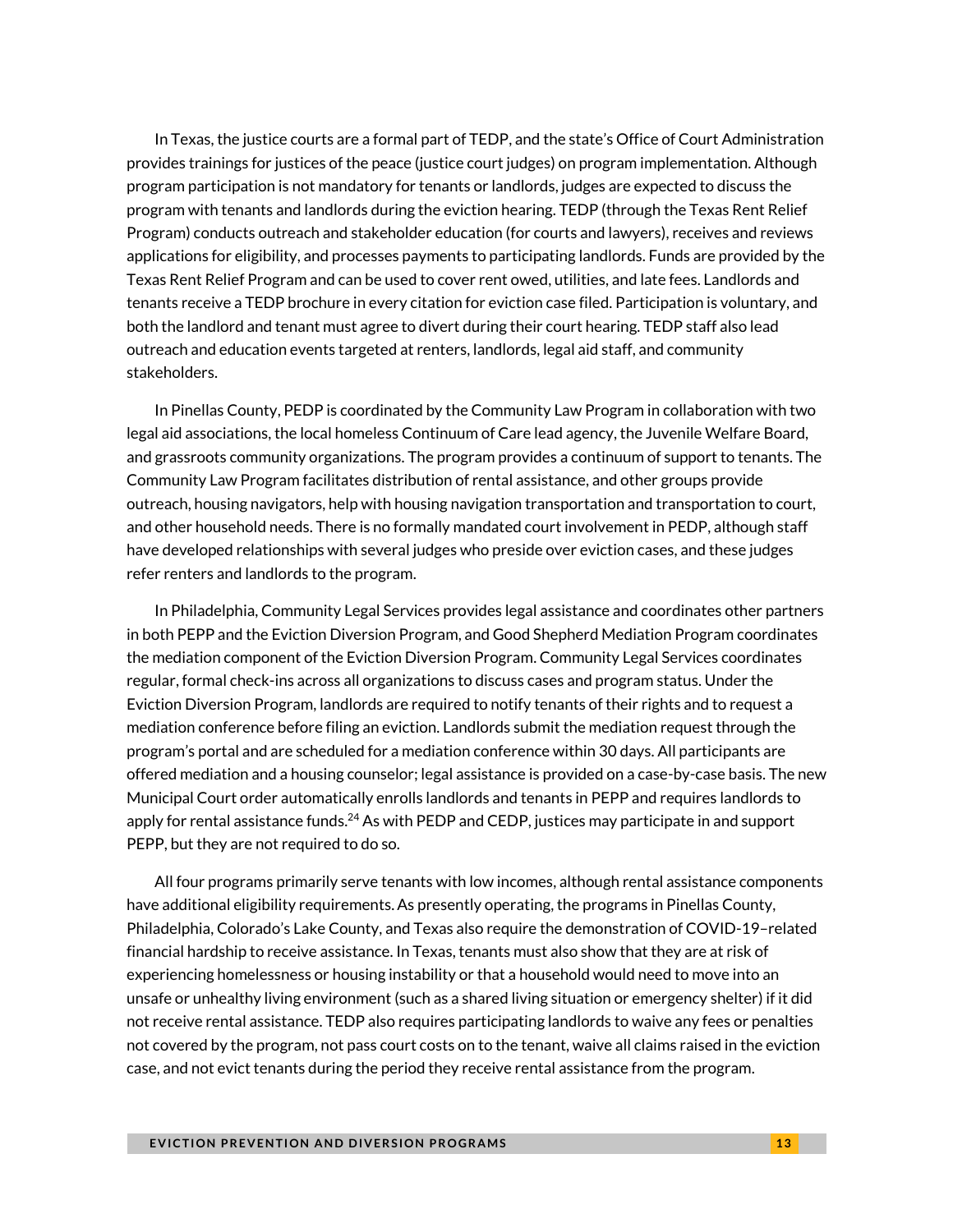In Texas, the justice courts are a formal part of TEDP, and the state's Office of Court Administration provides trainings for justices of the peace (justice court judges) on program implementation. Although program participation is not mandatory for tenants or landlords, judges are expected to discuss the program with tenants and landlords during the eviction hearing. TEDP (through the Texas Rent Relief Program) conducts outreach and stakeholder education (for courts and lawyers), receives and reviews applications for eligibility, and processes payments to participating landlords. Funds are provided by the Texas Rent Relief Program and can be used to cover rent owed, utilities, and late fees. Landlords and tenants receive a TEDP brochure in every citation for eviction case filed. Participation is voluntary, and both the landlord and tenant must agree to divert during their court hearing. TEDP staff also lead outreach and education events targeted at renters, landlords, legal aid staff, and community stakeholders.

In Pinellas County, PEDP is coordinated by the Community Law Program in collaboration with two legal aid associations, the local homeless Continuum of Care lead agency, the Juvenile Welfare Board, and grassroots community organizations. The program provides a continuum of support to tenants. The Community Law Program facilitates distribution of rental assistance, and other groups provide outreach, housing navigators, help with housing navigation transportation and transportation to court, and other household needs. There is no formally mandated court involvement in PEDP, although staff have developed relationships with several judges who preside over eviction cases, and these judges refer renters and landlords to the program.

In Philadelphia, Community Legal Services provides legal assistance and coordinates other partners in both PEPP and the Eviction Diversion Program, and Good Shepherd Mediation Program coordinates the mediation component of the Eviction Diversion Program. Community Legal Services coordinates regular, formal check-ins across all organizations to discuss cases and program status. Under the Eviction Diversion Program, landlords are required to notify tenants of their rights and to request a mediation conference before filing an eviction. Landlords submit the mediation request through the program's portal and are scheduled for a mediation conference within 30 days. All participants are offered mediation and a housing counselor; legal assistance is provided on a case-by-case basis. The new Municipal Court order automatically enrolls landlords and tenants in PEPP and requires landlords to apply for rental assistance funds.<sup>24</sup> As with PEDP and CEDP, justices may participate in and support PEPP, but they are not required to do so.

All four programs primarily serve tenants with low incomes, although rental assistance components have additional eligibility requirements.As presently operating, the programs in Pinellas County, Philadelphia, Colorado's Lake County, and Texas also require the demonstration of COVID-19–related financial hardship to receive assistance. In Texas, tenants must also show that they are at risk of experiencing homelessness or housing instability or that a household would need to move into an unsafe or unhealthy living environment (such as a shared living situation or emergency shelter) if it did not receive rental assistance. TEDP also requires participating landlords to waive any fees or penalties not covered by the program, not pass court costs on to the tenant, waive all claims raised in the eviction case, and not evict tenants during the period they receive rental assistance from the program.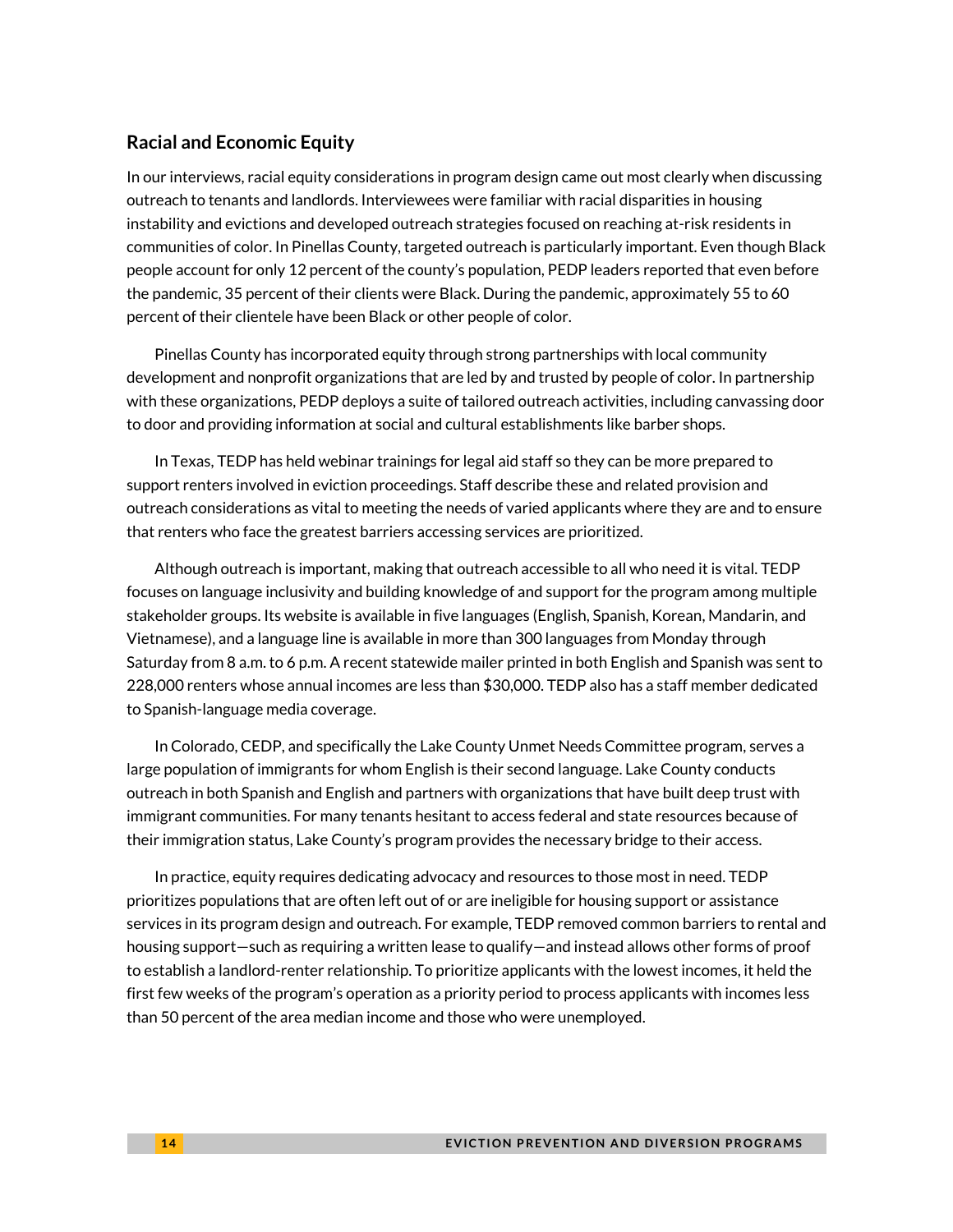#### **Racial and Economic Equity**

In our interviews, racial equity considerations in program design came out most clearly when discussing outreach to tenants and landlords. Interviewees were familiar with racial disparities in housing instability and evictions and developed outreach strategies focused on reaching at-risk residents in communities of color. In Pinellas County, targeted outreach is particularly important. Even though Black people account for only 12 percent of the county's population, PEDP leaders reported that even before the pandemic, 35 percent of their clients were Black. During the pandemic, approximately 55 to 60 percent of their clientele have been Black or other people of color.

Pinellas County has incorporated equity through strong partnerships with local community development and nonprofit organizations that are led by and trusted by people of color. In partnership with these organizations, PEDP deploys a suite of tailored outreach activities, including canvassing door to door and providing information at social and cultural establishments like barber shops.

In Texas, TEDP has held webinar trainings for legal aid staff so they can be more prepared to support renters involved in eviction proceedings. Staff describe these and related provision and outreach considerations as vital to meeting the needs of varied applicants where they are and to ensure that renters who face the greatest barriers accessing services are prioritized.

Although outreach is important, making that outreach accessible to all who need it is vital. TEDP focuses on language inclusivity and building knowledge of and support for the program among multiple stakeholder groups. Its website is available in five languages (English, Spanish, Korean, Mandarin, and Vietnamese), and a language line is available in more than 300 languages from Monday through Saturday from 8 a.m. to 6 p.m. A recent statewide mailer printed in both English and Spanish was sent to 228,000 renters whose annual incomes are less than \$30,000. TEDP also has a staff member dedicated to Spanish-language media coverage.

In Colorado, CEDP, and specifically the Lake County Unmet Needs Committee program, serves a large population of immigrants for whom English is their second language. Lake County conducts outreach in both Spanish and English and partners with organizations that have built deep trust with immigrant communities. For many tenants hesitant to access federal and state resources because of their immigration status, Lake County's program provides the necessary bridge to their access.

In practice, equity requires dedicating advocacy and resources to those most in need. TEDP prioritizes populations that are often left out of or are ineligible for housing support or assistance services in its program design and outreach. For example, TEDP removed common barriers to rental and housing support—such as requiring a written lease to qualify—and instead allows other forms of proof to establish a landlord-renter relationship. To prioritize applicants with the lowestincomes, it held the first few weeks of the program's operation as a priority period to process applicants with incomes less than 50 percent of the area median income and those who were unemployed.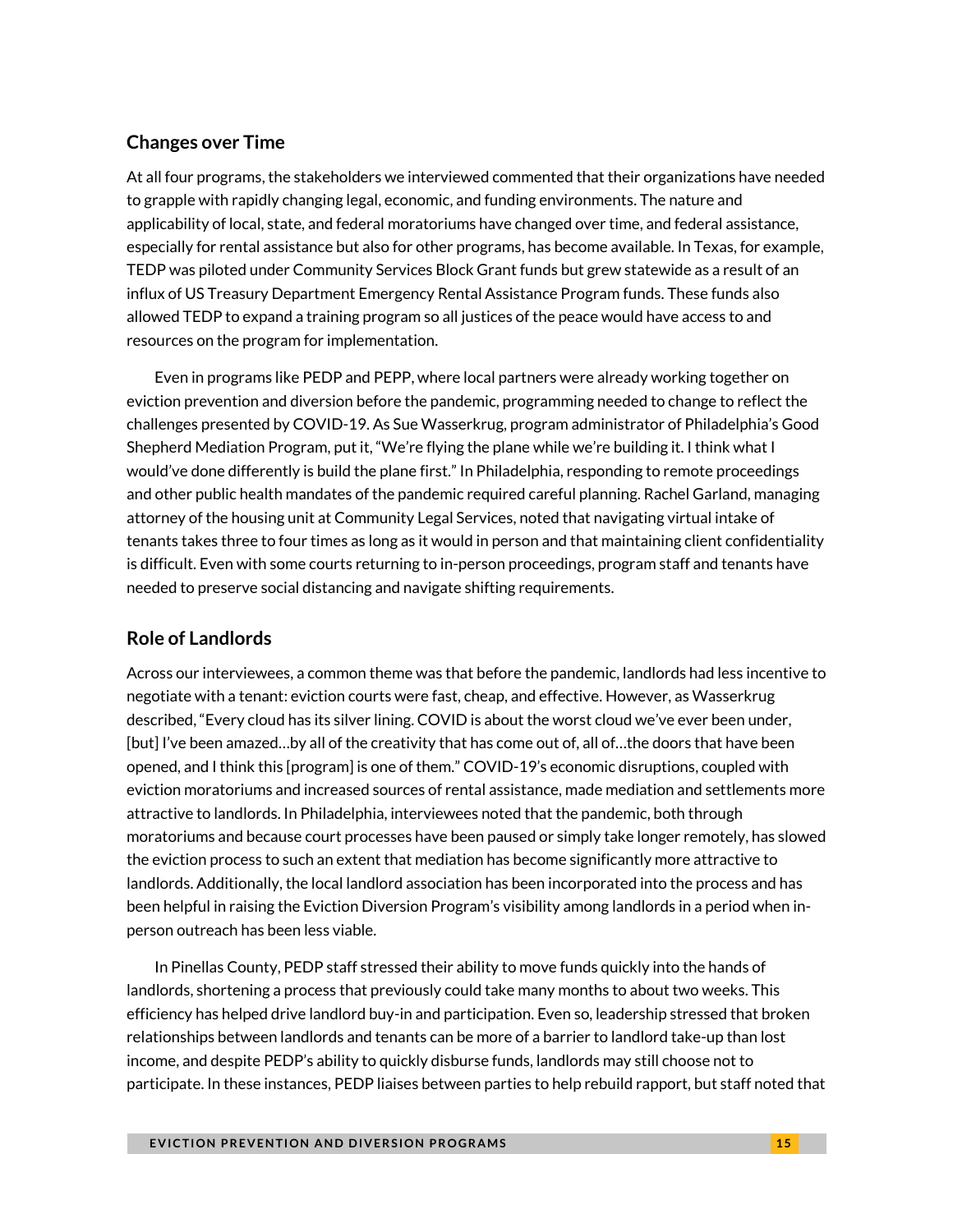#### **Changes over Time**

At all four programs, the stakeholders we interviewed commented that their organizations have needed to grapple with rapidly changing legal, economic, and funding environments. The nature and applicability of local, state, and federal moratoriums have changed over time, and federal assistance, especially for rental assistance but also for other programs, has become available. In Texas, for example, TEDP was piloted under Community Services Block Grant funds but grew statewide as a result of an influx of US Treasury Department Emergency Rental Assistance Program funds. These funds also allowed TEDP to expand a training program so all justices of the peace would have access to and resources on the program for implementation.

Even in programs like PEDP and PEPP, where local partners were already working together on eviction prevention and diversion before the pandemic, programming needed to change to reflect the challenges presented by COVID-19. As Sue Wasserkrug, program administrator of Philadelphia's Good Shepherd Mediation Program, put it, "We're flying the plane while we're building it. I think what I would've done differently is build the plane first." In Philadelphia, responding to remote proceedings and other public health mandates of the pandemic required careful planning. Rachel Garland, managing attorney of the housing unit at Community Legal Services, noted that navigating virtual intake of tenants takes three to four times as long as it would in person and that maintaining client confidentiality is difficult. Even with some courts returning to in-person proceedings, program staff and tenants have needed to preserve social distancing and navigate shifting requirements.

#### **Role of Landlords**

Across our interviewees, a common theme was that before the pandemic, landlords had less incentive to negotiate with a tenant: eviction courts were fast, cheap, and effective. However, as Wasserkrug described, "Every cloud has its silver lining. COVID is about the worst cloud we've ever been under, [but] I've been amazed…by all of the creativity that has come out of, all of…the doors that have been opened, and I think this [program] is one of them." COVID-19's economic disruptions, coupled with eviction moratoriums and increased sources of rental assistance, made mediation and settlements more attractive to landlords. In Philadelphia, interviewees noted that the pandemic, both through moratoriums and because court processes have been paused or simply take longer remotely, has slowed the eviction process to such an extent that mediation has become significantly more attractive to landlords. Additionally, the local landlord association has been incorporated into the process and has been helpful in raising the Eviction Diversion Program's visibility among landlords in a period when inperson outreach has been less viable.

In Pinellas County, PEDP staff stressed their ability to move funds quickly into the hands of landlords, shortening a process that previously could take many months to about two weeks. This efficiency has helped drive landlord buy-in and participation. Even so, leadership stressed that broken relationships between landlords and tenants can be more of a barrier to landlord take-up than lost income, and despite PEDP's ability to quickly disburse funds, landlords may still choose not to participate. In these instances, PEDP liaises between parties to help rebuild rapport, but staff noted that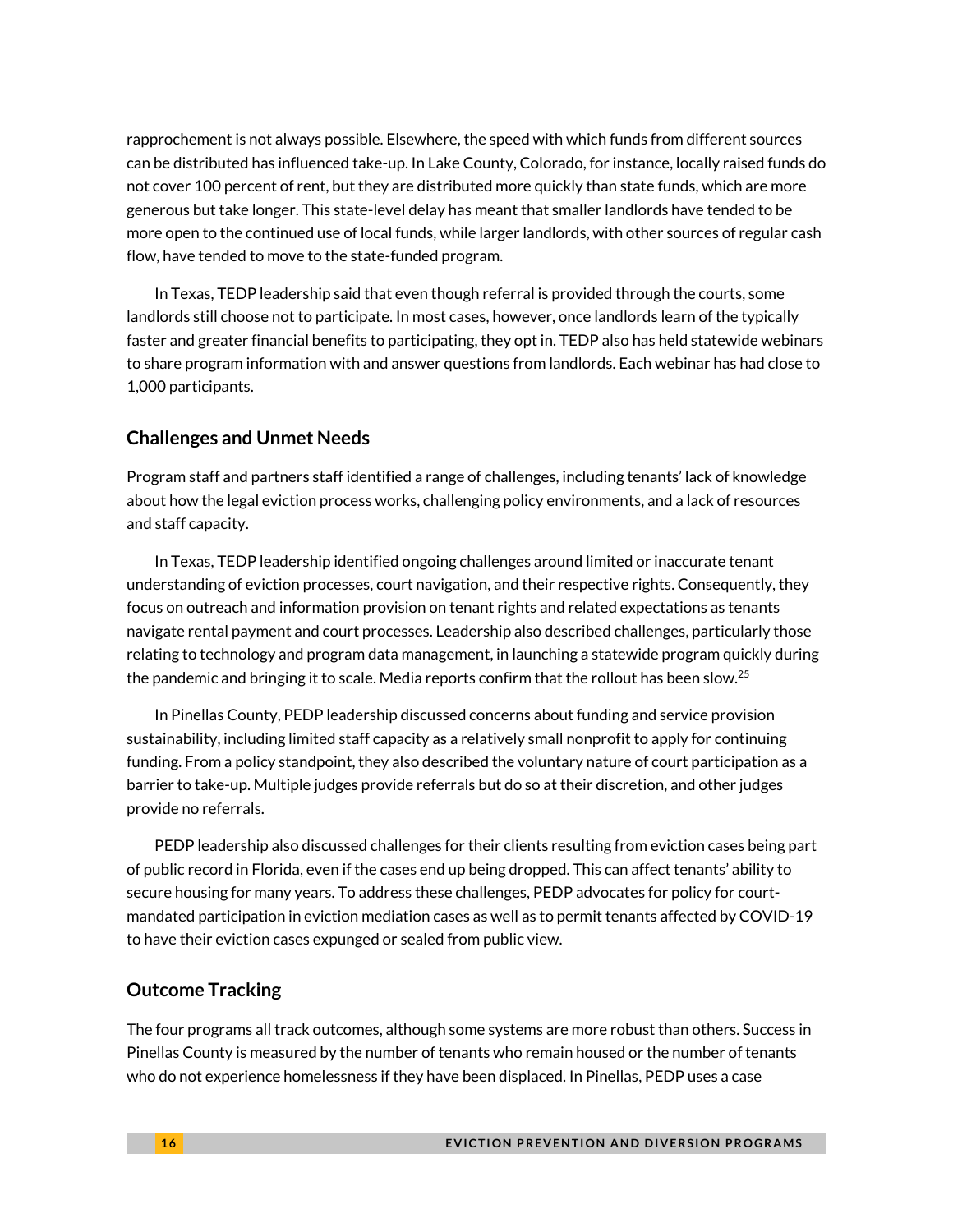rapprochement is not always possible. Elsewhere, the speed with which funds from different sources can be distributed has influenced take-up. In Lake County, Colorado, for instance, locally raised funds do not cover 100 percent of rent, but they are distributed more quickly than state funds, which are more generous but take longer. This state-level delay has meant that smaller landlords have tended to be more open to the continued use of local funds, while larger landlords, with other sources of regular cash flow, have tended to move to the state-funded program.

In Texas, TEDP leadership said that even though referral is provided through the courts, some landlords still choose not to participate. In most cases, however, once landlords learn of the typically faster and greater financial benefits to participating, they opt in. TEDP also has held statewide webinars to share program information with and answer questions from landlords. Each webinar has had close to 1,000 participants.

#### **Challenges and Unmet Needs**

Program staff and partners staff identified a range of challenges, including tenants' lack of knowledge about how the legal eviction process works, challenging policy environments, and a lack of resources and staff capacity.

In Texas, TEDP leadership identified ongoing challenges around limited or inaccurate tenant understanding of eviction processes, court navigation, and their respective rights. Consequently, they focus on outreach and information provision on tenant rights and related expectations as tenants navigate rental payment and court processes. Leadership also described challenges, particularly those relating to technology and program data management, in launching a statewide program quickly during the pandemic and bringing it to scale. Media reports confirm that the rollout has been slow.<sup>25</sup>

In Pinellas County, PEDP leadership discussed concerns about funding and service provision sustainability, including limited staff capacity as a relatively small nonprofit to apply for continuing funding. From a policy standpoint, they also described the voluntary nature of court participation as a barrier to take-up. Multiple judges provide referrals but do so at their discretion, and other judges provide no referrals.

PEDP leadership also discussed challenges for their clients resulting from eviction cases being part of public record in Florida, even if the cases end up being dropped. This can affect tenants' ability to secure housing for many years. To address these challenges, PEDP advocates for policy for courtmandated participation in eviction mediation cases as well as to permit tenants affected by COVID-19 to have their eviction cases expunged or sealed from public view.

#### **Outcome Tracking**

The four programs all track outcomes, although some systems are more robust than others. Success in Pinellas County is measured by the number of tenants who remain housed or the number of tenants who do not experience homelessness if they have been displaced. In Pinellas, PEDP uses a case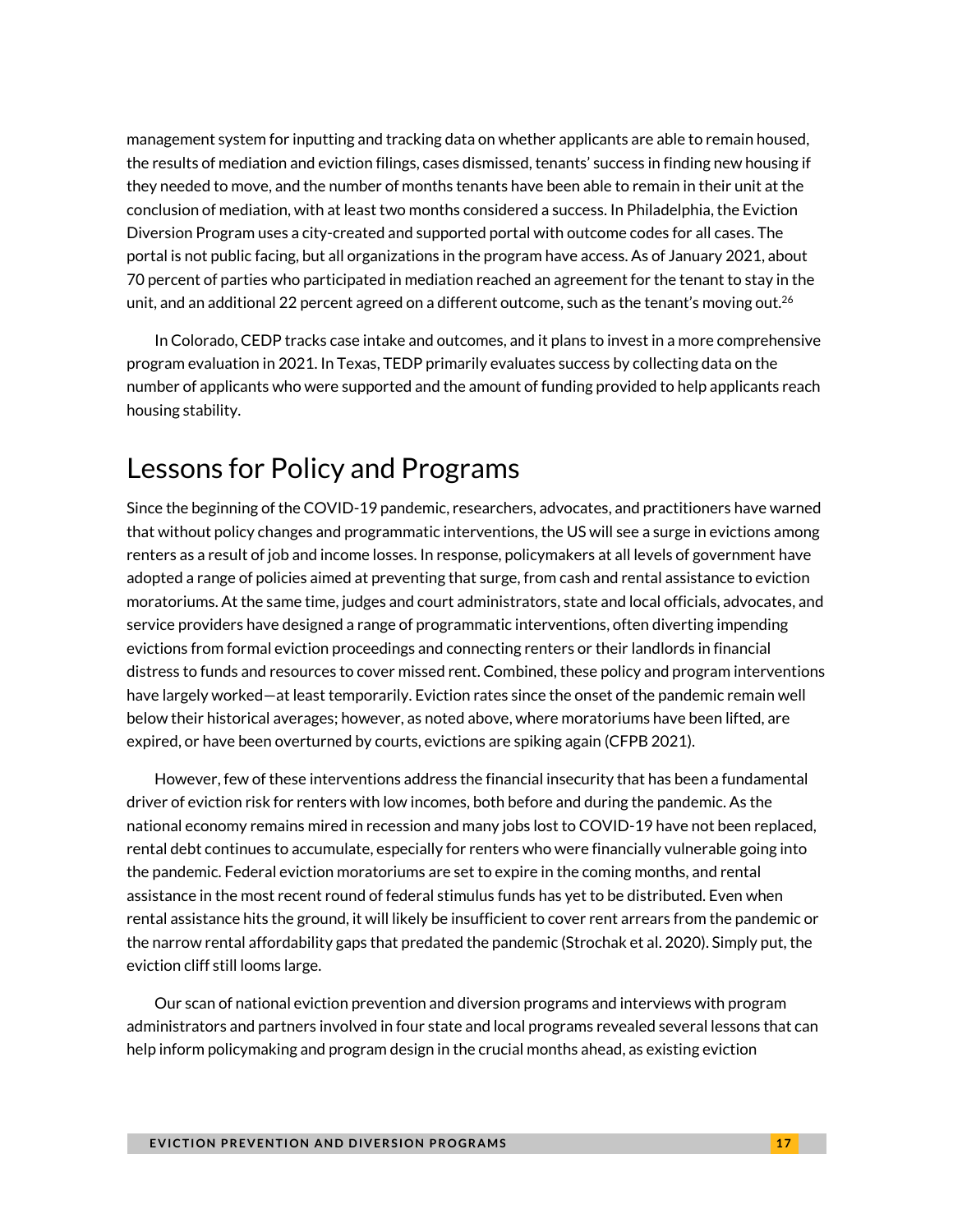management system for inputting and tracking data on whether applicants are able to remain housed, the results of mediation and eviction filings, cases dismissed, tenants' success in finding new housing if they needed to move, and the number of months tenants have been able to remain in their unit at the conclusion of mediation, with at least two months considered a success. In Philadelphia, the Eviction Diversion Program uses a city-created and supported portal with outcome codes for all cases. The portal is not public facing, but all organizations in the program have access. As of January 2021, about 70 percent of parties who participated in mediation reached an agreement for the tenant to stay in the unit, and an additional 22 percent agreed on a different outcome, such as the tenant's moving out. $^{26}$ 

In Colorado, CEDP tracks case intake and outcomes, and it plans to invest in a more comprehensive program evaluation in 2021. In Texas, TEDP primarily evaluates success by collecting data on the number of applicants who were supported and the amount of funding provided to help applicants reach housing stability.

### Lessons for Policy and Programs

Since the beginning of the COVID-19 pandemic, researchers, advocates, and practitioners have warned that without policy changes and programmatic interventions, the US will see a surge in evictions among renters as a result of job and income losses. In response, policymakers at all levels of government have adopted a range of policies aimed at preventing that surge, from cash and rental assistance to eviction moratoriums. At the same time, judges and court administrators, state and local officials, advocates, and service providers have designed a range of programmatic interventions, often diverting impending evictions from formal eviction proceedings and connecting renters or their landlords in financial distress to funds and resources to cover missed rent. Combined, these policy and program interventions have largely worked—at least temporarily. Eviction rates since the onset of the pandemic remain well below their historical averages; however, as noted above, where moratoriums have been lifted, are expired, or have been overturned by courts, evictions are spiking again (CFPB 2021).

However, few of these interventions address the financial insecurity that has been a fundamental driver of eviction risk for renters with low incomes, both before and during the pandemic. As the national economy remains mired in recession and many jobs lost to COVID-19 have not been replaced, rental debt continues to accumulate, especially for renters who were financially vulnerable going into the pandemic. Federal eviction moratoriums are set to expire in the coming months, and rental assistance in the most recent round of federal stimulus funds has yet to be distributed. Even when rental assistance hits the ground, it will likely be insufficient to cover rent arrears from the pandemic or the narrow rental affordability gaps that predated the pandemic (Strochak et al. 2020). Simply put, the eviction cliff still looms large.

Our scan of national eviction prevention and diversion programs and interviews with program administrators and partners involved in four state and local programs revealed several lessons that can help inform policymaking and program design in the crucial months ahead, as existing eviction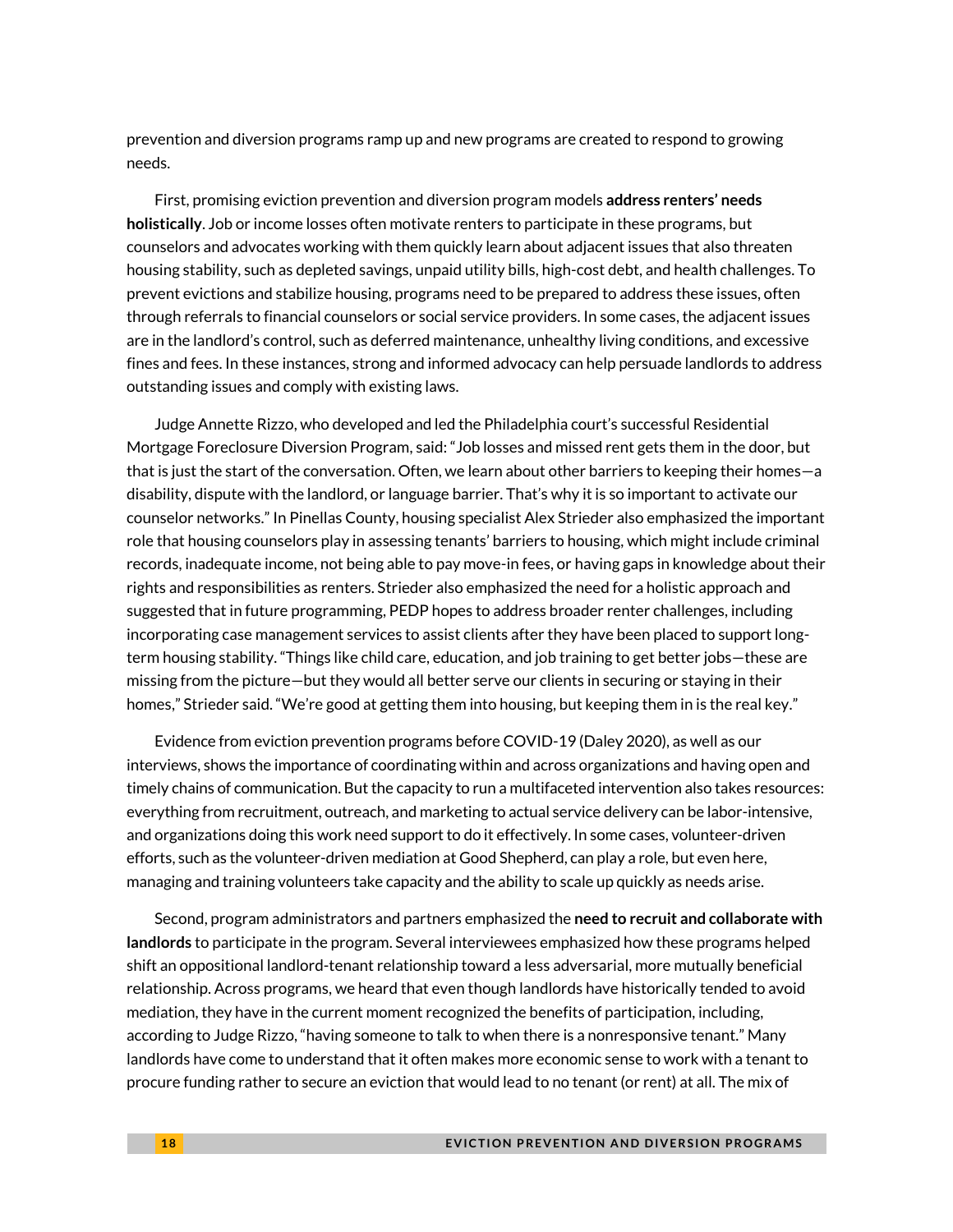prevention and diversion programs ramp up and new programs are created to respond to growing needs.

First, promising eviction prevention and diversion program models **address renters' needs holistically**. Job or income losses often motivate renters to participate in these programs, but counselors and advocates working with them quickly learn about adjacent issues that also threaten housing stability, such as depleted savings, unpaid utility bills, high-cost debt, and health challenges. To prevent evictions and stabilize housing, programs need to be prepared to address these issues, often through referrals to financial counselors or social service providers. In some cases, the adjacent issues are in the landlord's control, such as deferred maintenance, unhealthy living conditions, and excessive fines and fees. In these instances, strong and informed advocacy can help persuade landlords to address outstanding issues and comply with existing laws.

Judge Annette Rizzo, who developed and led the Philadelphia court's successful Residential Mortgage Foreclosure Diversion Program, said: "Job losses and missed rent gets them in the door, but that is just the start of the conversation. Often, we learn about other barriers to keeping their homes—a disability, dispute with the landlord, or language barrier. That's why it is so important to activate our counselor networks." In Pinellas County, housing specialist Alex Strieder also emphasized the important role that housing counselors play in assessing tenants' barriers to housing, which might include criminal records, inadequate income, not being able to pay move-in fees, or having gaps in knowledge about their rights and responsibilities as renters. Strieder also emphasized the need for a holistic approach and suggested that in future programming, PEDP hopes to address broader renter challenges, including incorporating case management services to assist clients after they have been placed to support longterm housing stability. "Things like child care, education, and job training to get better jobs—these are missing from the picture—but they would all better serve our clients in securing or staying in their homes," Strieder said. "We're good at getting them into housing, but keeping them in is the real key."

Evidence from eviction prevention programs before COVID-19 (Daley 2020), as well as our interviews, shows the importance of coordinating within and across organizations and having open and timely chains of communication. But the capacity to run a multifaceted intervention also takes resources: everything from recruitment, outreach, and marketing to actual service delivery can be labor-intensive, and organizations doing this work need support to do it effectively. In some cases, volunteer-driven efforts, such as the volunteer-driven mediation at Good Shepherd, can play a role, but even here, managing and training volunteers take capacity and the ability to scale up quickly as needs arise.

Second, program administrators and partners emphasized the **need to recruit and collaborate with landlords** to participate in the program. Several interviewees emphasized how these programs helped shift an oppositional landlord-tenant relationship toward a less adversarial, more mutually beneficial relationship. Across programs, we heard that even though landlords have historically tended to avoid mediation, they have in the current moment recognized the benefits of participation, including, according to Judge Rizzo, "having someone to talk to when there is a nonresponsive tenant." Many landlords have come to understand that it often makes more economic sense to work with a tenant to procure funding rather to secure an eviction that would lead to no tenant (or rent) at all. The mix of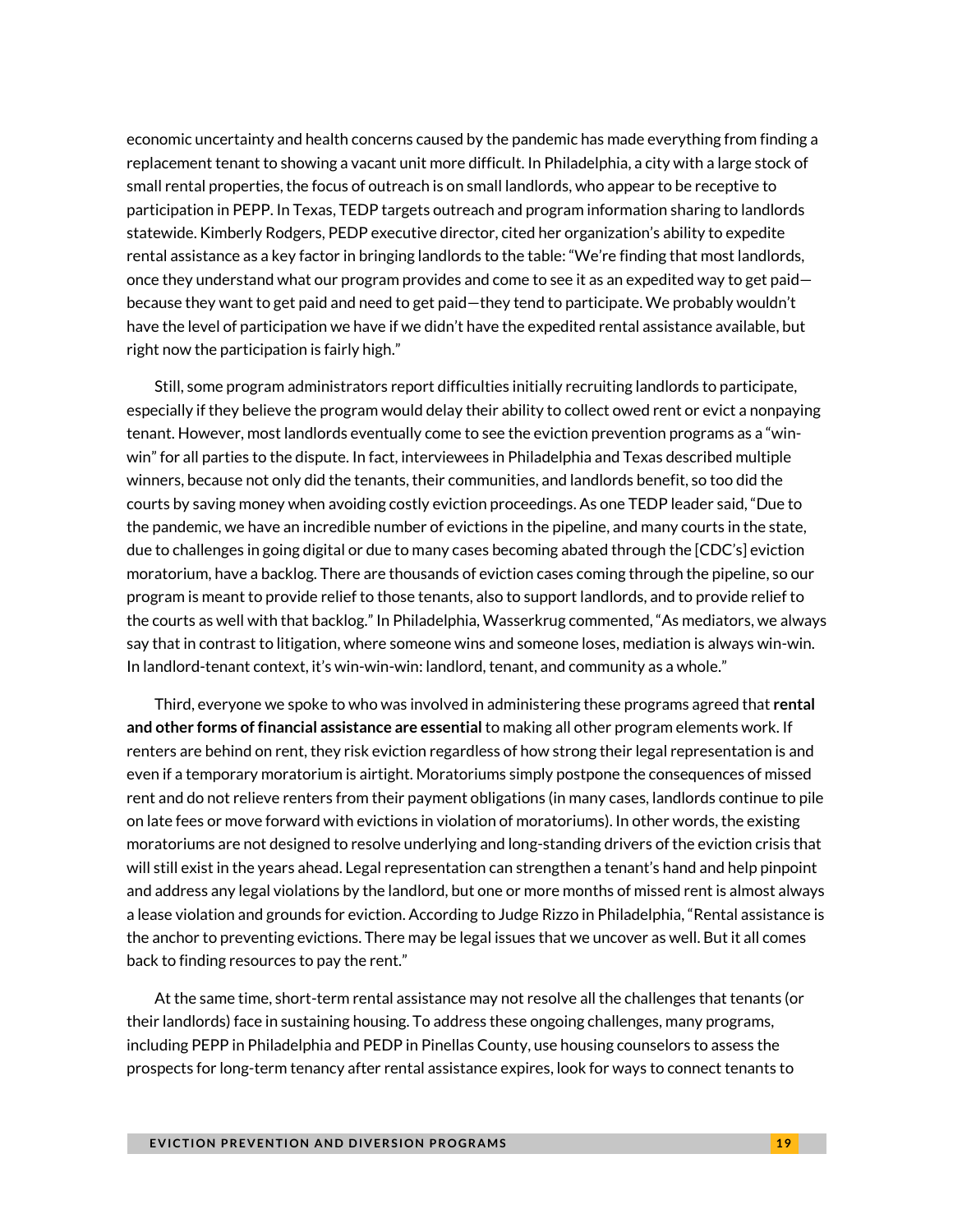economic uncertainty and health concerns caused by the pandemic has made everything from finding a replacement tenant to showing a vacant unit more difficult. In Philadelphia, a city with a large stock of small rental properties, the focus of outreach is on small landlords, who appear to be receptive to participation in PEPP. In Texas, TEDP targets outreach and program information sharing to landlords statewide. Kimberly Rodgers, PEDP executive director, cited her organization's ability to expedite rental assistance as a key factor in bringing landlords to the table: "We're finding that most landlords, once they understand what our program provides and come to see it as an expedited way to get paid because they want to get paid and need to get paid—they tend to participate. We probably wouldn't have the level of participation we have if we didn't have the expedited rental assistance available, but right now the participation is fairly high."

Still, some program administrators report difficulties initially recruiting landlords to participate, especially if they believe the program would delay their ability to collect owed rent or evict a nonpaying tenant. However, most landlords eventually come to see the eviction prevention programs as a "winwin" for all parties to the dispute. In fact, interviewees in Philadelphia and Texas described multiple winners, because not only did the tenants, their communities, and landlords benefit, so too did the courts by saving money when avoiding costly eviction proceedings. As one TEDP leader said, "Due to the pandemic, we have an incredible number of evictions in the pipeline, and many courts in the state, due to challenges in going digital or due to many cases becoming abated through the [CDC's] eviction moratorium, have a backlog. There are thousands of eviction cases coming through the pipeline, so our program is meant to provide relief to those tenants, also to support landlords, and to provide relief to the courts as well with that backlog." In Philadelphia, Wasserkrug commented, "As mediators, we always say that in contrast to litigation, where someone wins and someone loses, mediation is always win-win. In landlord-tenant context, it's win-win-win: landlord, tenant, and community as a whole."

Third, everyone we spoke to who was involved in administering these programs agreed that **rental and other forms of financial assistance are essential** to making all other program elements work. If renters are behind on rent, they risk eviction regardless of how strong their legal representation is and even if a temporary moratorium is airtight. Moratoriums simply postpone the consequences of missed rent and do not relieve renters from their payment obligations (in many cases, landlords continue to pile on late fees or move forward with evictions in violation of moratoriums). In other words, the existing moratoriums are not designed to resolve underlying and long-standing drivers of the eviction crisis that will still exist in the years ahead. Legal representation can strengthen a tenant's hand and help pinpoint and address any legal violations by the landlord, but one or more months of missed rent is almost always a lease violation and grounds for eviction. According to Judge Rizzo in Philadelphia, "Rental assistance is the anchor to preventing evictions. There may be legal issues that we uncover as well. But it all comes back to finding resources to pay the rent."

At the same time, short-term rental assistance may not resolve all the challenges that tenants (or their landlords) face in sustaining housing. To address these ongoing challenges, many programs, including PEPP in Philadelphia and PEDP in Pinellas County, use housing counselors to assess the prospects for long-term tenancy after rental assistance expires, look for ways to connect tenants to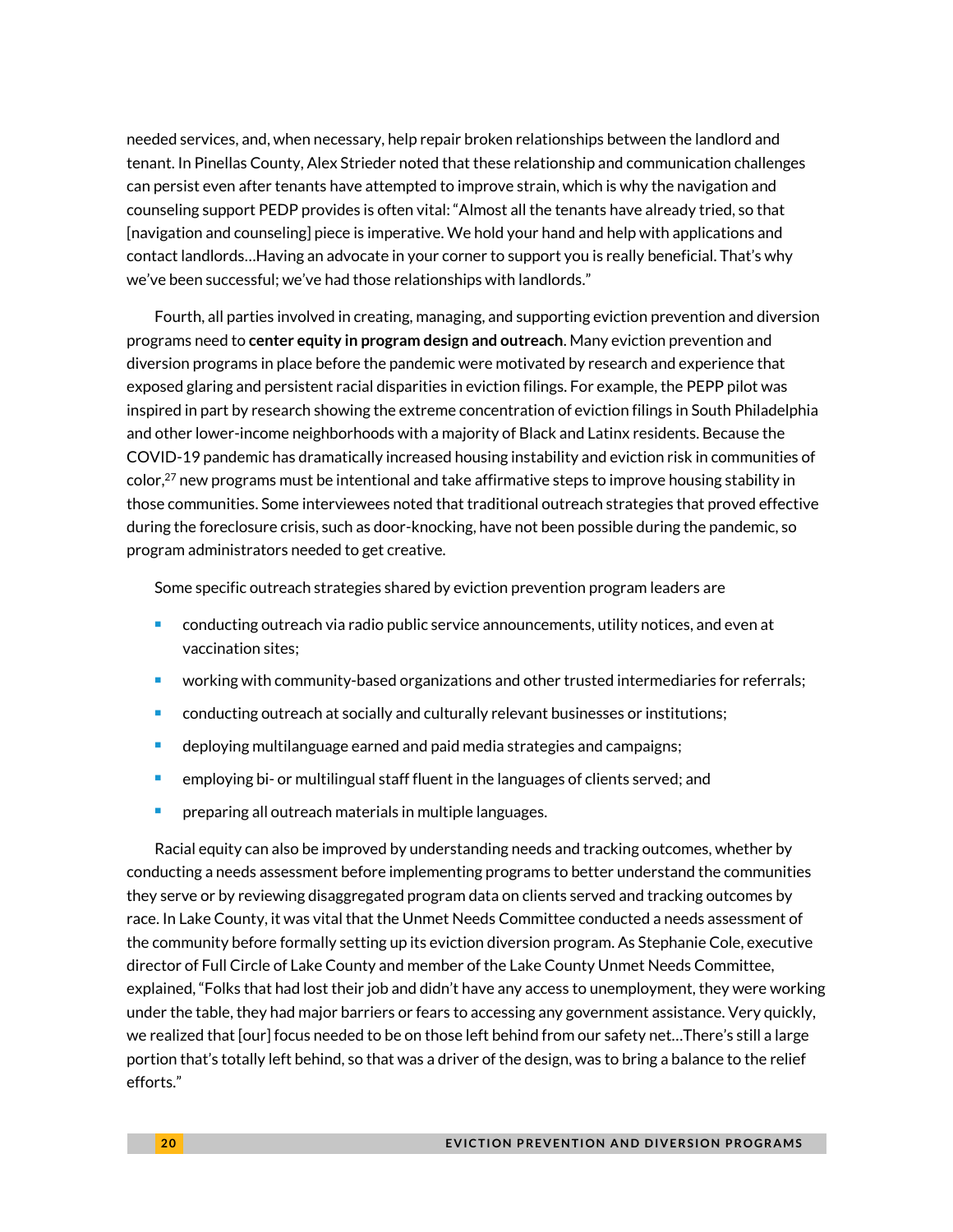needed services, and, when necessary, help repair broken relationships between the landlord and tenant. In Pinellas County, Alex Strieder noted that these relationship and communication challenges can persist even after tenants have attempted to improve strain, which is why the navigation and counseling support PEDP provides is often vital: "Almost all the tenants have already tried, so that [navigation and counseling] piece is imperative. We hold your hand and help with applications and contact landlords…Having an advocate in your corner to support you is really beneficial. That's why we've been successful; we've had those relationships with landlords."

Fourth, all parties involved in creating, managing, and supporting eviction prevention and diversion programs need to **center equity in program design and outreach**. Many eviction prevention and diversion programs in place before the pandemic were motivated by research and experience that exposed glaring and persistent racial disparities in eviction filings. For example, the PEPP pilot was inspired in part by research showing the extreme concentration of eviction filings in South Philadelphia and other lower-income neighborhoods with a majority of Black and Latinx residents. Because the COVID-19 pandemic has dramatically increased housing instability and eviction risk in communities of  $color<sub>1</sub><sup>7</sup>$  new programs must be intentional and take affirmative steps to improve housing stability in those communities. Some interviewees noted that traditional outreach strategies that proved effective during the foreclosure crisis, such as door-knocking, have not been possible during the pandemic, so program administrators needed to get creative.

Some specific outreach strategies shared by eviction prevention program leaders are

- <sup>◼</sup> conducting outreach via radio public service announcements, utility notices, and even at vaccination sites;
- working with community-based organizations and other trusted intermediaries for referrals;
- <sup>◼</sup> conducting outreach at socially and culturally relevant businesses or institutions;
- deploying multilanguage earned and paid media strategies and campaigns;
- employing bi- or multilingual staff fluent in the languages of clients served; and
- preparing all outreach materials in multiple languages.

Racial equity can also be improved by understanding needs and tracking outcomes, whether by conducting a needs assessment before implementing programs to better understand the communities they serve or by reviewing disaggregated program data on clients served and tracking outcomes by race. In Lake County, it was vital that the Unmet Needs Committee conducted a needs assessment of the community before formally setting up its eviction diversion program. As Stephanie Cole, executive director of Full Circle of Lake County and member of the Lake County Unmet Needs Committee, explained, "Folks that had lost their job and didn't have any access to unemployment, they were working under the table, they had major barriers or fears to accessing any government assistance. Very quickly, we realized that [our] focus needed to be on those left behind from our safety net…There's still a large portion that's totally left behind, so that was a driver of the design, was to bring a balance to the relief efforts."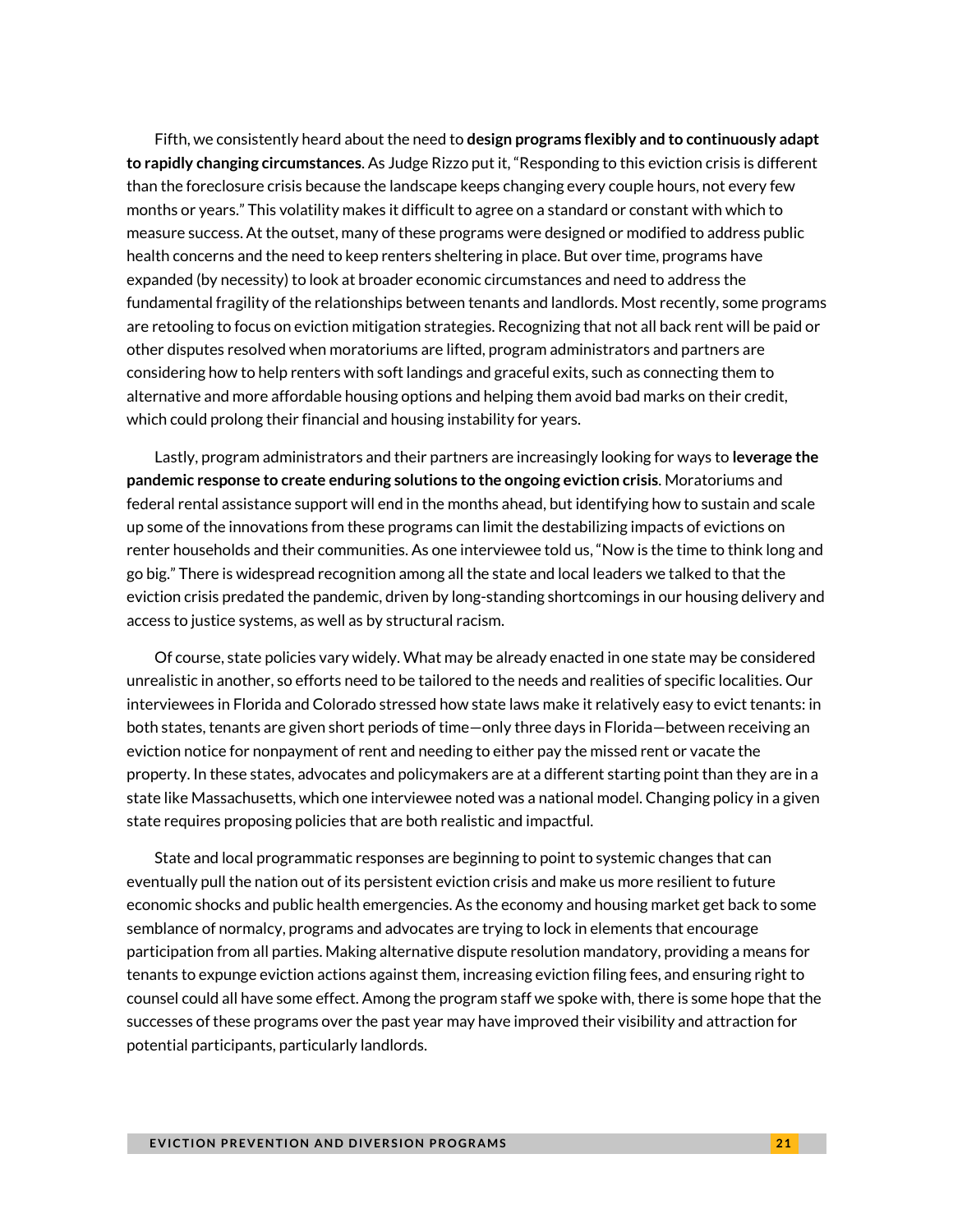Fifth, we consistently heard about the need to **design programs flexibly and to continuously adapt to rapidly changing circumstances**. As Judge Rizzo put it, "Responding to this eviction crisis is different than the foreclosure crisis because the landscape keeps changing every couple hours, not every few months or years." This volatility makes it difficult to agree on a standard or constant with which to measure success. At the outset, many of these programs were designed or modified to address public health concerns and the need to keep renters sheltering in place. But over time, programs have expanded (by necessity) to look at broader economic circumstances and need to address the fundamental fragility of the relationships between tenants and landlords. Most recently, some programs are retooling to focus on eviction mitigation strategies. Recognizing that not all back rent will be paid or other disputes resolved when moratoriums are lifted, program administrators and partners are considering how to help renters with soft landings and graceful exits, such as connecting them to alternative and more affordable housing options and helping them avoid bad marks on their credit, which could prolong their financial and housing instability for years.

Lastly, program administrators and their partners are increasingly looking for ways to **leverage the pandemic response to create enduring solutions to the ongoing eviction crisis**. Moratoriums and federal rental assistance support will end in the months ahead, but identifying how to sustain and scale up some of the innovations from these programs can limit the destabilizing impacts of evictions on renter households and their communities. As one interviewee told us, "Now is the time to think long and go big." There is widespread recognition among all the state and local leaders we talked to that the eviction crisis predated the pandemic, driven by long-standing shortcomings in our housing delivery and access to justice systems, as well as by structural racism.

Of course, state policies vary widely. What may be already enacted in one state may be considered unrealistic in another, so efforts need to be tailored to the needs and realities of specific localities. Our interviewees in Florida and Colorado stressed how state laws make it relatively easy to evict tenants: in both states, tenants are given short periods of time—only three days in Florida—between receiving an eviction notice for nonpayment of rent and needing to either pay the missed rent or vacate the property. In these states, advocates and policymakers are at a different starting point than they are in a state like Massachusetts, which one interviewee noted was a national model. Changing policy in a given state requires proposing policies that are both realistic and impactful.

State and local programmatic responses are beginning to point to systemic changes that can eventually pull the nation out of its persistent eviction crisis and make us more resilient to future economic shocks and public health emergencies. As the economy and housing market get back to some semblance of normalcy, programs and advocates are trying to lock in elements that encourage participation from all parties. Making alternative dispute resolution mandatory, providing a means for tenants to expunge eviction actions against them, increasing eviction filing fees, and ensuring right to counsel could all have some effect. Among the program staff we spoke with, there is some hope that the successes of these programs over the past year may have improved their visibility and attraction for potential participants, particularly landlords.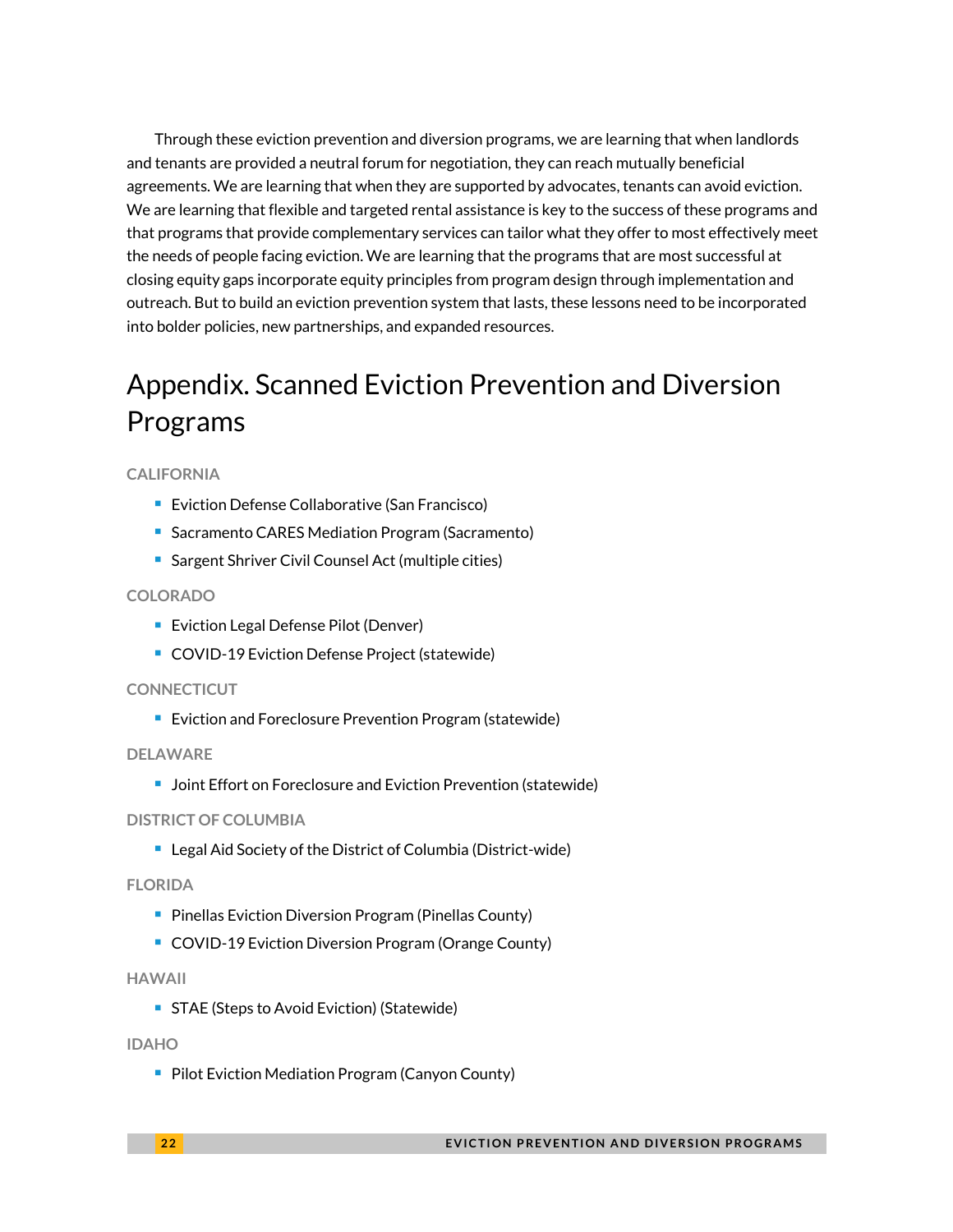Through these eviction prevention and diversion programs, we are learning that when landlords and tenants are provided a neutral forum for negotiation, they can reach mutually beneficial agreements. We are learning that when they are supported by advocates, tenants can avoid eviction. We are learning that flexible and targeted rental assistance is key to the success of these programs and that programs that provide complementary services can tailor what they offer to most effectively meet the needs of people facing eviction. We are learning that the programs that are most successful at closing equity gaps incorporate equity principles from program design through implementation and outreach. But to build an eviction prevention system that lasts, these lessons need to be incorporated into bolder policies, new partnerships, and expanded resources.

# Appendix. Scanned Eviction Prevention and Diversion Programs

#### **CALIFORNIA**

- Eviction Defense Collaborative (San Francisco)
- Sacramento CARES Mediation Program (Sacramento)
- Sargent Shriver Civil Counsel Act (multiple cities)

#### **COLORADO**

- Eviction Legal Defense Pilot (Denver)
- COVID-19 Eviction Defense Project (statewide)

#### **CONNECTICUT**

■ Eviction and Foreclosure Prevention Program (statewide)

#### **DELAWARE**

■ Joint Effort on Foreclosure and Eviction Prevention (statewide)

#### **DISTRICT OF COLUMBIA**

■ Legal Aid Society of the District of Columbia (District-wide)

#### **FLORIDA**

- Pinellas Eviction Diversion Program (Pinellas County)
- COVID-19 Eviction Diversion Program (Orange County)

#### **HAWAII**

■ STAE (Steps to Avoid Eviction) (Statewide)

#### **IDAHO**

■ Pilot Eviction Mediation Program (Canyon County)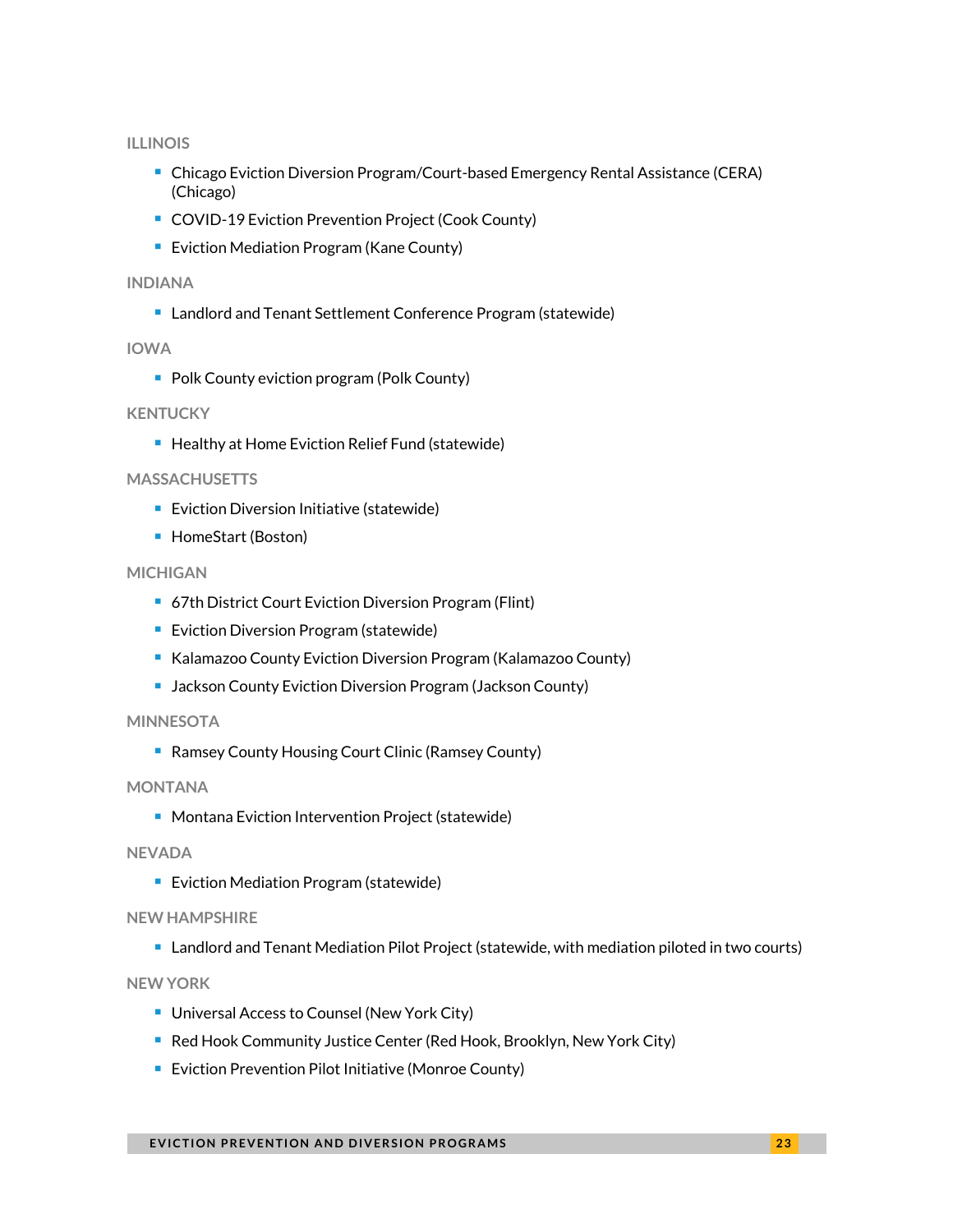#### **ILLINOIS**

- Chicago Eviction Diversion Program/Court-based Emergency Rental Assistance (CERA) (Chicago)
- COVID-19 Eviction Prevention Project (Cook County)
- Eviction Mediation Program (Kane County)

#### **INDIANA**

■ Landlord and Tenant Settlement Conference Program (statewide)

#### **IOWA**

■ Polk County eviction program (Polk County)

#### **KENTUCKY**

■ Healthy at Home Eviction Relief Fund (statewide)

#### **MASSACHUSETTS**

- Eviction Diversion Initiative (statewide)
- HomeStart (Boston)

#### **MICHIGAN**

- 67th District Court Eviction Diversion Program (Flint)
- Eviction Diversion Program (statewide)
- Kalamazoo County Eviction Diversion Program (Kalamazoo County)
- Jackson County Eviction Diversion Program (Jackson County)

#### **MINNESOTA**

■ Ramsey County Housing Court Clinic (Ramsey County)

#### **MONTANA**

■ Montana Eviction Intervention Project (statewide)

#### **NEVADA**

■ Eviction Mediation Program (statewide)

#### **NEW HAMPSHIRE**

■ Landlord and Tenant Mediation Pilot Project (statewide, with mediation piloted in two courts)

#### **NEW YORK**

- Universal Access to Counsel (New York City)
- Red Hook Community Justice Center (Red Hook, Brooklyn, New York City)
- Eviction Prevention Pilot Initiative (Monroe County)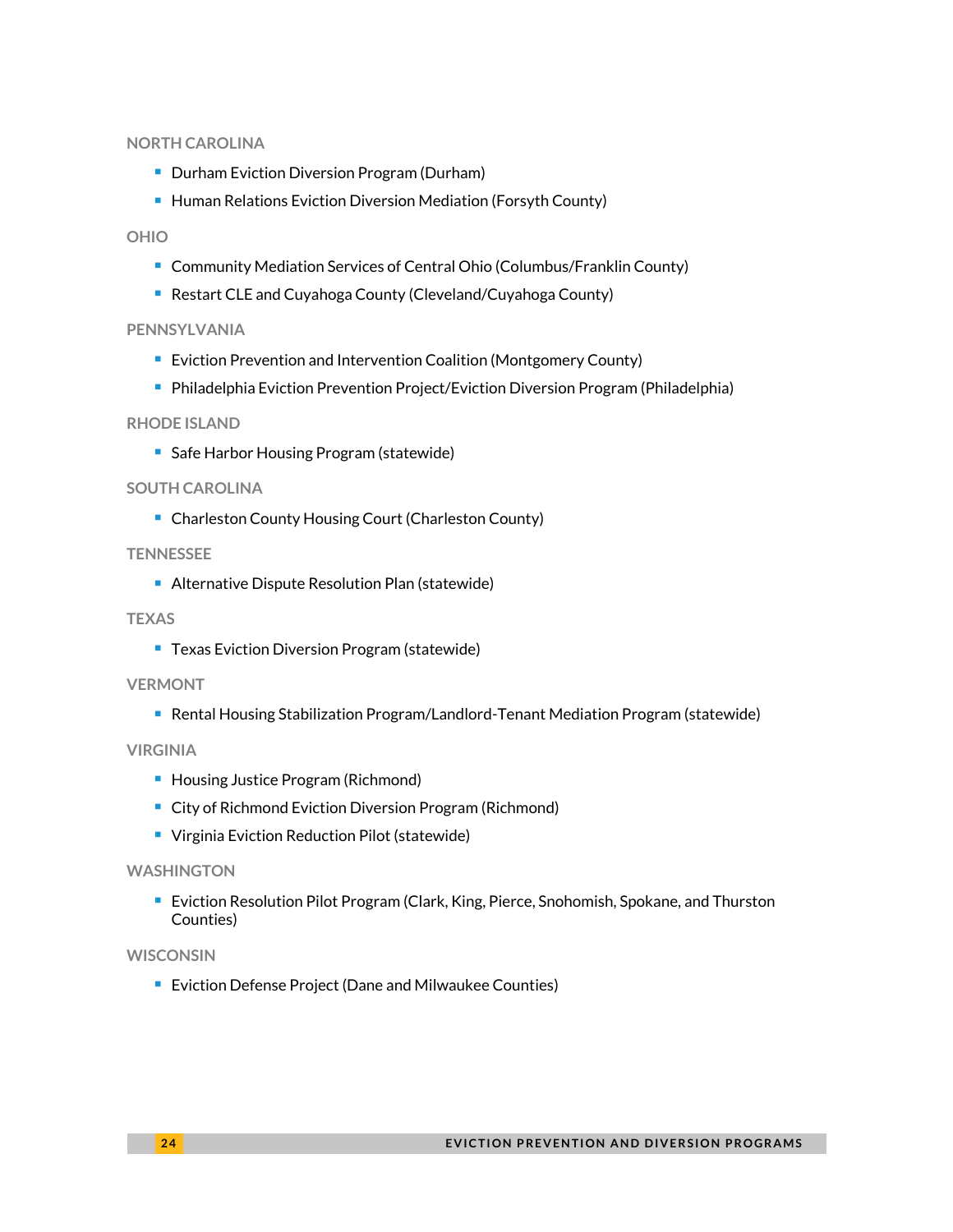#### **NORTH CAROLINA**

- Durham Eviction Diversion Program (Durham)
- Human Relations Eviction Diversion Mediation (Forsyth County)

#### **OHIO**

- Community Mediation Services of Central Ohio (Columbus/Franklin County)
- Restart CLE and Cuyahoga County (Cleveland/Cuyahoga County)

#### **PENNSYLVANIA**

- Eviction Prevention and Intervention Coalition (Montgomery County)
- Philadelphia Eviction Prevention Project/Eviction Diversion Program (Philadelphia)

#### **RHODE ISLAND**

■ Safe Harbor Housing Program (statewide)

#### **SOUTH CAROLINA**

■ Charleston County Housing Court (Charleston County)

#### **TENNESSEE**

■ Alternative Dispute Resolution Plan (statewide)

#### **TEXAS**

■ Texas Eviction Diversion Program (statewide)

#### **VERMONT**

■ Rental Housing Stabilization Program/Landlord-Tenant Mediation Program (statewide)

#### **VIRGINIA**

- Housing Justice Program (Richmond)
- City of Richmond Eviction Diversion Program (Richmond)
- Virginia Eviction Reduction Pilot (statewide)

#### **WASHINGTON**

■ Eviction Resolution Pilot Program (Clark, King, Pierce, Snohomish, Spokane, and Thurston Counties)

#### **WISCONSIN**

■ Eviction Defense Project (Dane and Milwaukee Counties)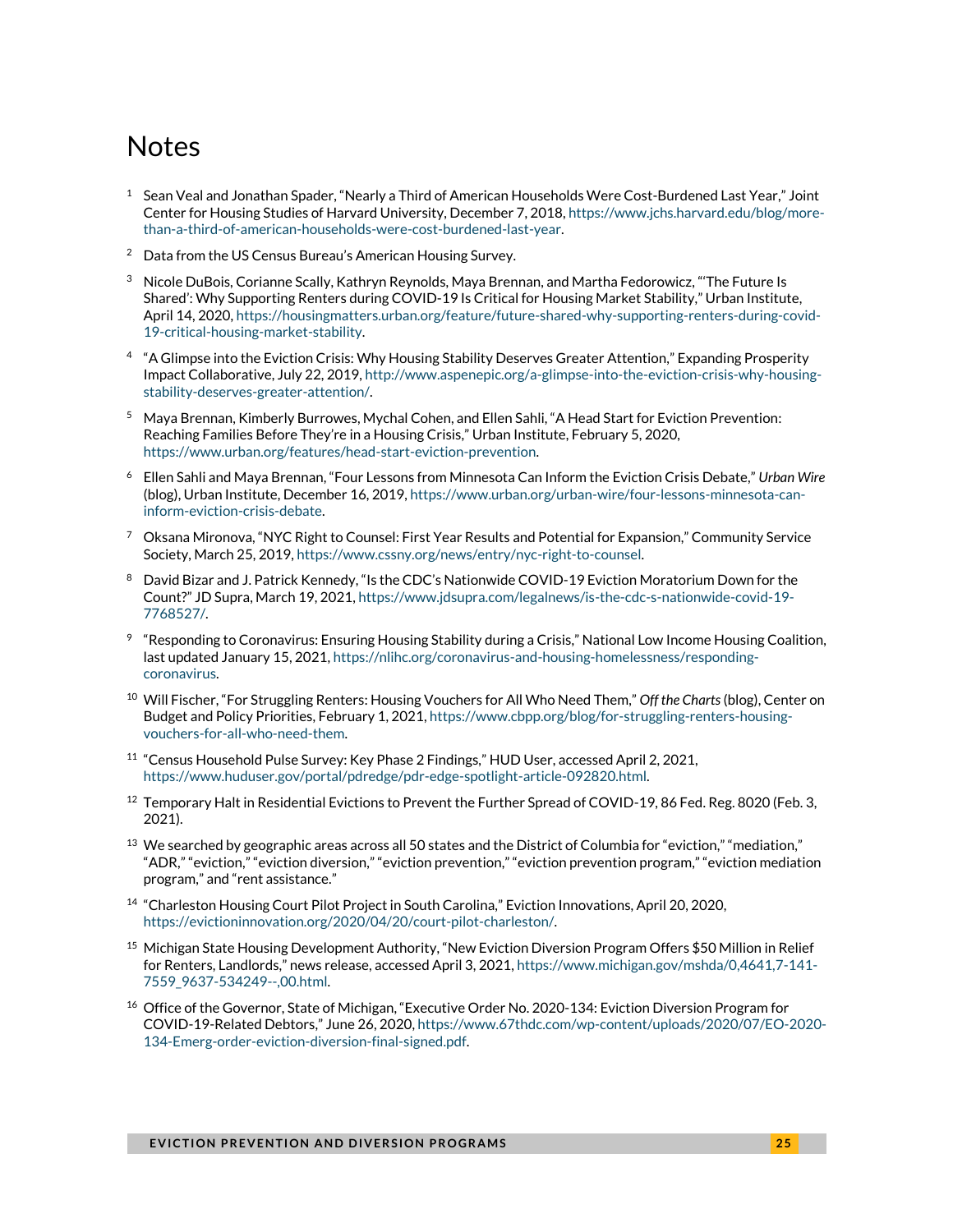### **Notes**

- $^{\rm 1}~$  Sean Veal and Jonathan Spader, "Nearly a Third of American Households Were Cost-Burdened Last Year," Joint Center for Housing Studies of Harvard University, December 7, 2018[, https://www.jchs.harvard.edu/blog/more](https://www.jchs.harvard.edu/blog/more-than-a-third-of-american-households-were-cost-burdened-last-year)[than-a-third-of-american-households-were-cost-burdened-last-year.](https://www.jchs.harvard.edu/blog/more-than-a-third-of-american-households-were-cost-burdened-last-year)
- <sup>2</sup> Data from the US Census Bureau's American Housing Survey.
- $3$  Nicole DuBois, Corianne Scally, Kathryn Reynolds, Maya Brennan, and Martha Fedorowicz, "The Future Is Shared': Why Supporting Renters during COVID-19 Is Critical for Housing Market Stability," Urban Institute, April 14, 2020[, https://housingmatters.urban.org/feature/future-shared-why-supporting-renters-during-covid-](https://housingmatters.urban.org/feature/future-shared-why-supporting-renters-during-covid-19-critical-housing-market-stability)[19-critical-housing-market-stability.](https://housingmatters.urban.org/feature/future-shared-why-supporting-renters-during-covid-19-critical-housing-market-stability)
- 4 "A Glimpse into the Eviction Crisis: Why Housing Stability Deserves Greater Attention," Expanding Prosperity Impact Collaborative, July 22, 2019[, http://www.aspenepic.org/a-glimpse-into-the-eviction-crisis-why-housing](http://www.aspenepic.org/a-glimpse-into-the-eviction-crisis-why-housing-stability-deserves-greater-attention/)[stability-deserves-greater-attention/.](http://www.aspenepic.org/a-glimpse-into-the-eviction-crisis-why-housing-stability-deserves-greater-attention/)
- <sup>5</sup> Maya Brennan, Kimberly Burrowes, Mychal Cohen, and Ellen Sahli, "A Head Start for Eviction Prevention: Reaching Families Before They're in a Housing Crisis," Urban Institute, February 5, 2020, [https://www.urban.org/features/head-start-eviction-prevention.](https://www.urban.org/features/head-start-eviction-prevention)
- <sup>6</sup> Ellen Sahli and Maya Brennan, "Four Lessons from Minnesota Can Inform the Eviction Crisis Debate," *Urban Wire* (blog), Urban Institute, December 16, 2019[, https://www.urban.org/urban-wire/four-lessons-minnesota-can](https://www.urban.org/urban-wire/four-lessons-minnesota-can-inform-eviction-crisis-debate)[inform-eviction-crisis-debate.](https://www.urban.org/urban-wire/four-lessons-minnesota-can-inform-eviction-crisis-debate)
- <sup>7</sup> Oksana Mironova, "NYC Right to Counsel: First Year Results and Potential for Expansion," Community Service Society, March 25, 2019[, https://www.cssny.org/news/entry/nyc-right-to-counsel.](https://www.cssny.org/news/entry/nyc-right-to-counsel)
- <sup>8</sup> David Bizar and J. Patrick Kennedy, "Is the CDC's Nationwide COVID-19 Eviction Moratorium Down for the Count?" JD Supra, March 19, 2021, [https://www.jdsupra.com/legalnews/is-the-cdc-s-nationwide-covid-19-](https://www.jdsupra.com/legalnews/is-the-cdc-s-nationwide-covid-19-7768527/) [7768527/.](https://www.jdsupra.com/legalnews/is-the-cdc-s-nationwide-covid-19-7768527/)
- 9 "Responding to Coronavirus: Ensuring Housing Stability during a Crisis," National Low Income Housing Coalition, last updated January 15, 2021[, https://nlihc.org/coronavirus-and-housing-homelessness/responding](https://nlihc.org/coronavirus-and-housing-homelessness/responding-coronavirus)[coronavirus.](https://nlihc.org/coronavirus-and-housing-homelessness/responding-coronavirus)
- <sup>10</sup> Will Fischer, "For Struggling Renters: Housing Vouchers for All Who Need Them," *Off the Charts*(blog), Center on Budget and Policy Priorities, February 1, 2021[, https://www.cbpp.org/blog/for-struggling-renters-housing](https://www.cbpp.org/blog/for-struggling-renters-housing-vouchers-for-all-who-need-them)[vouchers-for-all-who-need-them.](https://www.cbpp.org/blog/for-struggling-renters-housing-vouchers-for-all-who-need-them)
- <sup>11</sup> "Census Household Pulse Survey: Key Phase 2 Findings," HUD User, accessed April 2, 2021, [https://www.huduser.gov/portal/pdredge/pdr-edge-spotlight-article-092820.html.](https://www.huduser.gov/portal/pdredge/pdr-edge-spotlight-article-092820.html)
- <sup>12</sup> Temporary Halt in Residential Evictions to Prevent the Further Spread of COVID-19, 86 Fed. Reg. 8020 (Feb. 3, 2021).
- $^{13}$  We searched by geographic areas across all 50 states and the District of Columbia for "eviction," "mediation," "ADR," "eviction," "eviction diversion," "eviction prevention," "eviction prevention program," "eviction mediation program," and "rent assistance."
- <sup>14</sup> "Charleston Housing Court Pilot Project in South Carolina," Eviction Innovations, April 20, 2020, [https://evictioninnovation.org/2020/04/20/court-pilot-charleston/.](https://evictioninnovation.org/2020/04/20/court-pilot-charleston/)
- <sup>15</sup> Michigan State Housing Development Authority, "New Eviction Diversion Program Offers \$50 Million in Relief for Renters, Landlords," news release, accessed April 3, 2021, [https://www.michigan.gov/mshda/0,4641,7-141-](https://www.michigan.gov/mshda/0,4641,7-141-7559_9637-534249--,00.html) [7559\\_9637-534249--,00.html.](https://www.michigan.gov/mshda/0,4641,7-141-7559_9637-534249--,00.html)
- <sup>16</sup> Office of the Governor, State of Michigan, "Executive Order No. 2020-134: Eviction Diversion Program for COVID-19-Related Debtors," June 26, 2020, [https://www.67thdc.com/wp-content/uploads/2020/07/EO-2020-](https://www.67thdc.com/wp-content/uploads/2020/07/EO-2020-134-Emerg-order-eviction-diversion-final-signed.pdf) [134-Emerg-order-eviction-diversion-final-signed.pdf.](https://www.67thdc.com/wp-content/uploads/2020/07/EO-2020-134-Emerg-order-eviction-diversion-final-signed.pdf)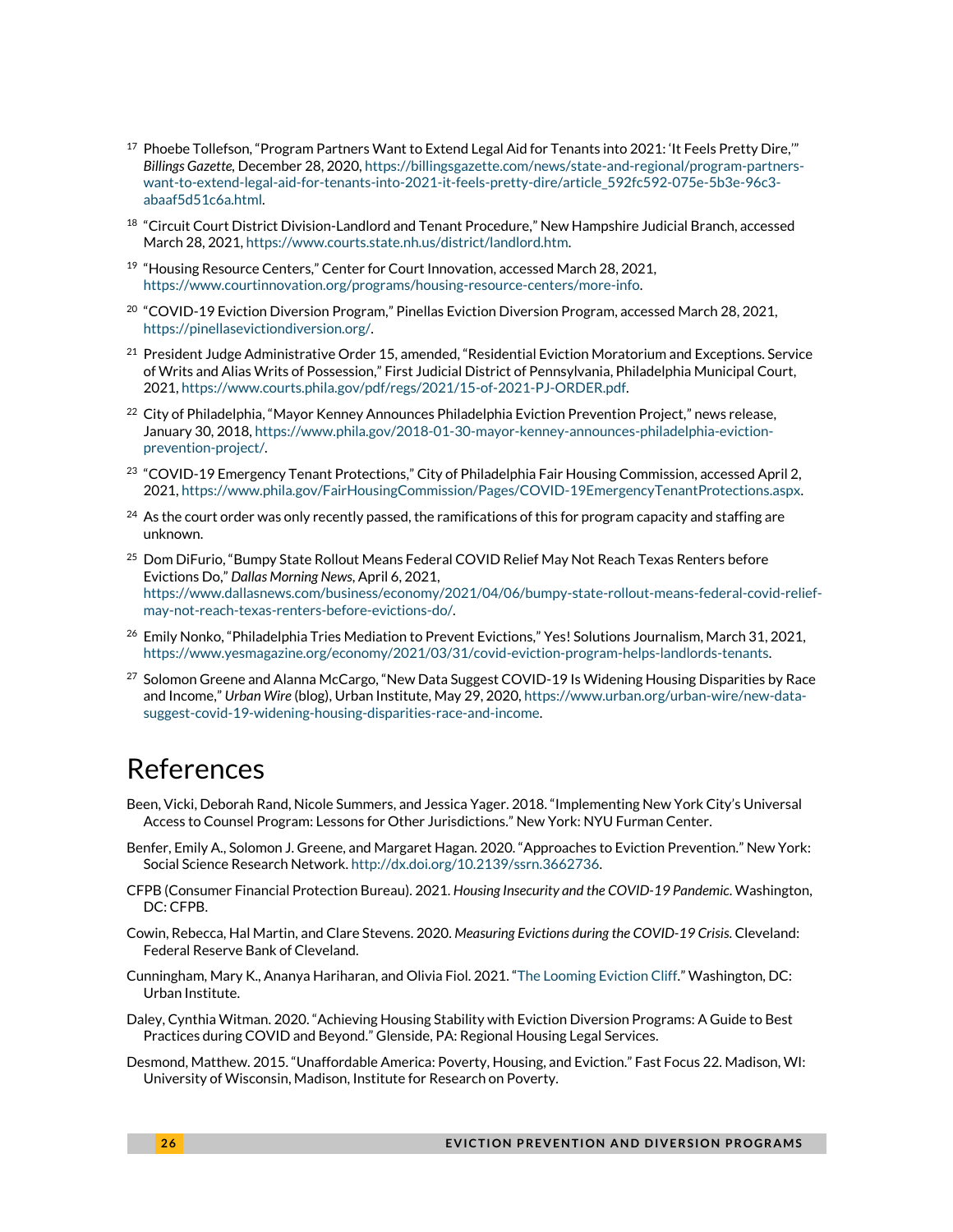- $17$  Phoebe Tollefson, "Program Partners Want to Extend Legal Aid for Tenants into 2021: 'It Feels Pretty Dire,'" *Billings Gazette,* December 28, 2020[, https://billingsgazette.com/news/state-and-regional/program-partners](https://billingsgazette.com/news/state-and-regional/program-partners-want-to-extend-legal-aid-for-tenants-into-2021-it-feels-pretty-dire/article_592fc592-075e-5b3e-96c3-abaaf5d51c6a.html)[want-to-extend-legal-aid-for-tenants-into-2021-it-feels-pretty-dire/article\\_592fc592-075e-5b3e-96c3](https://billingsgazette.com/news/state-and-regional/program-partners-want-to-extend-legal-aid-for-tenants-into-2021-it-feels-pretty-dire/article_592fc592-075e-5b3e-96c3-abaaf5d51c6a.html) [abaaf5d51c6a.html.](https://billingsgazette.com/news/state-and-regional/program-partners-want-to-extend-legal-aid-for-tenants-into-2021-it-feels-pretty-dire/article_592fc592-075e-5b3e-96c3-abaaf5d51c6a.html)
- <sup>18</sup> "Circuit Court District Division-Landlord and Tenant Procedure," New Hampshire Judicial Branch, accessed March 28, 2021[, https://www.courts.state.nh.us/district/landlord.htm.](https://www.courts.state.nh.us/district/landlord.htm)
- <sup>19</sup> "Housing Resource Centers," Center for Court Innovation, accessed March 28, 2021, [https://www.courtinnovation.org/programs/housing-resource-centers/more-info.](https://www.courtinnovation.org/programs/housing-resource-centers/more-info)
- $^{20}$  "COVID-19 Eviction Diversion Program," Pinellas Eviction Diversion Program, accessed March 28, 2021, [https://pinellasevictiondiversion.org/.](https://pinellasevictiondiversion.org/)
- $^{21}$  President Judge Administrative Order 15, amended, "Residential Eviction Moratorium and Exceptions. Service of Writs and Alias Writs of Possession," First Judicial District of Pennsylvania, Philadelphia Municipal Court, 2021[, https://www.courts.phila.gov/pdf/regs/2021/15-of-2021-PJ-ORDER.pdf.](https://www.courts.phila.gov/pdf/regs/2021/15-of-2021-PJ-ORDER.pdf)
- <sup>22</sup> City of Philadelphia, "Mayor Kenney Announces Philadelphia Eviction Prevention Project," news release, January 30, 2018[, https://www.phila.gov/2018-01-30-mayor-kenney-announces-philadelphia-eviction](https://www.phila.gov/2018-01-30-mayor-kenney-announces-philadelphia-eviction-prevention-project/)[prevention-project/.](https://www.phila.gov/2018-01-30-mayor-kenney-announces-philadelphia-eviction-prevention-project/)
- <sup>23</sup> "COVID-19 Emergency Tenant Protections," City of Philadelphia Fair Housing Commission, accessed April 2, 2021[, https://www.phila.gov/FairHousingCommission/Pages/COVID-19EmergencyTenantProtections.aspx.](https://www.phila.gov/FairHousingCommission/Pages/COVID-19EmergencyTenantProtections.aspx)
- $^{24}$  As the court order was only recently passed, the ramifications of this for program capacity and staffing are unknown.
- <sup>25</sup> Dom DiFurio, "Bumpy State Rollout Means Federal COVID Relief May Not Reach Texas Renters before Evictions Do," *Dallas Morning News*, April 6, 2021, [https://www.dallasnews.com/business/economy/2021/04/06/bumpy-state-rollout-means-federal-covid-relief](https://www.dallasnews.com/business/economy/2021/04/06/bumpy-state-rollout-means-federal-covid-relief-may-not-reach-texas-renters-before-evictions-do/)[may-not-reach-texas-renters-before-evictions-do/.](https://www.dallasnews.com/business/economy/2021/04/06/bumpy-state-rollout-means-federal-covid-relief-may-not-reach-texas-renters-before-evictions-do/)
- <sup>26</sup> Emily Nonko, "Philadelphia Tries Mediation to Prevent Evictions," Yes! Solutions Journalism, March 31, 2021, [https://www.yesmagazine.org/economy/2021/03/31/covid-eviction-program-helps-landlords-tenants.](https://www.yesmagazine.org/economy/2021/03/31/covid-eviction-program-helps-landlords-tenants)
- $^{27}$  Solomon Greene and Alanna McCargo, "New Data Suggest COVID-19 Is Widening Housing Disparities by Race and Income," *Urban Wire* (blog), Urban Institute, May 29, 2020[, https://www.urban.org/urban-wire/new-data](https://www.urban.org/urban-wire/new-data-suggest-covid-19-widening-housing-disparities-race-and-income)[suggest-covid-19-widening-housing-disparities-race-and-income.](https://www.urban.org/urban-wire/new-data-suggest-covid-19-widening-housing-disparities-race-and-income)

### References

- Been, Vicki, Deborah Rand, Nicole Summers, and Jessica Yager. 2018. "Implementing New York City's Universal Access to Counsel Program: Lessons for Other Jurisdictions." New York: NYU Furman Center.
- Benfer, Emily A., Solomon J. Greene, and Margaret Hagan. 2020. "Approaches to Eviction Prevention." New York: Social Science Research Network[. http://dx.doi.org/10.2139/ssrn.3662736.](http://dx.doi.org/10.2139/ssrn.3662736)
- CFPB (Consumer Financial Protection Bureau). 2021. *Housing Insecurity and the COVID-19 Pandemic*. Washington, DC: CFPB.
- Cowin, Rebecca, Hal Martin, and Clare Stevens. 2020. *Measuring Evictions during the COVID-19 Crisis*. Cleveland: Federal Reserve Bank of Cleveland.
- Cunningham, Mary K., Ananya Hariharan, and Olivia Fiol. 2021. "[The Looming Eviction Cliff.](https://www.urban.org/research/publication/looming-eviction-cliff)" Washington, DC: Urban Institute.
- Daley, Cynthia Witman. 2020. "Achieving Housing Stability with Eviction Diversion Programs: A Guide to Best Practices during COVID and Beyond." Glenside, PA: Regional Housing Legal Services.
- Desmond, Matthew. 2015. "Unaffordable America: Poverty, Housing, and Eviction." Fast Focus 22. Madison, WI: University of Wisconsin, Madison, Institute for Research on Poverty.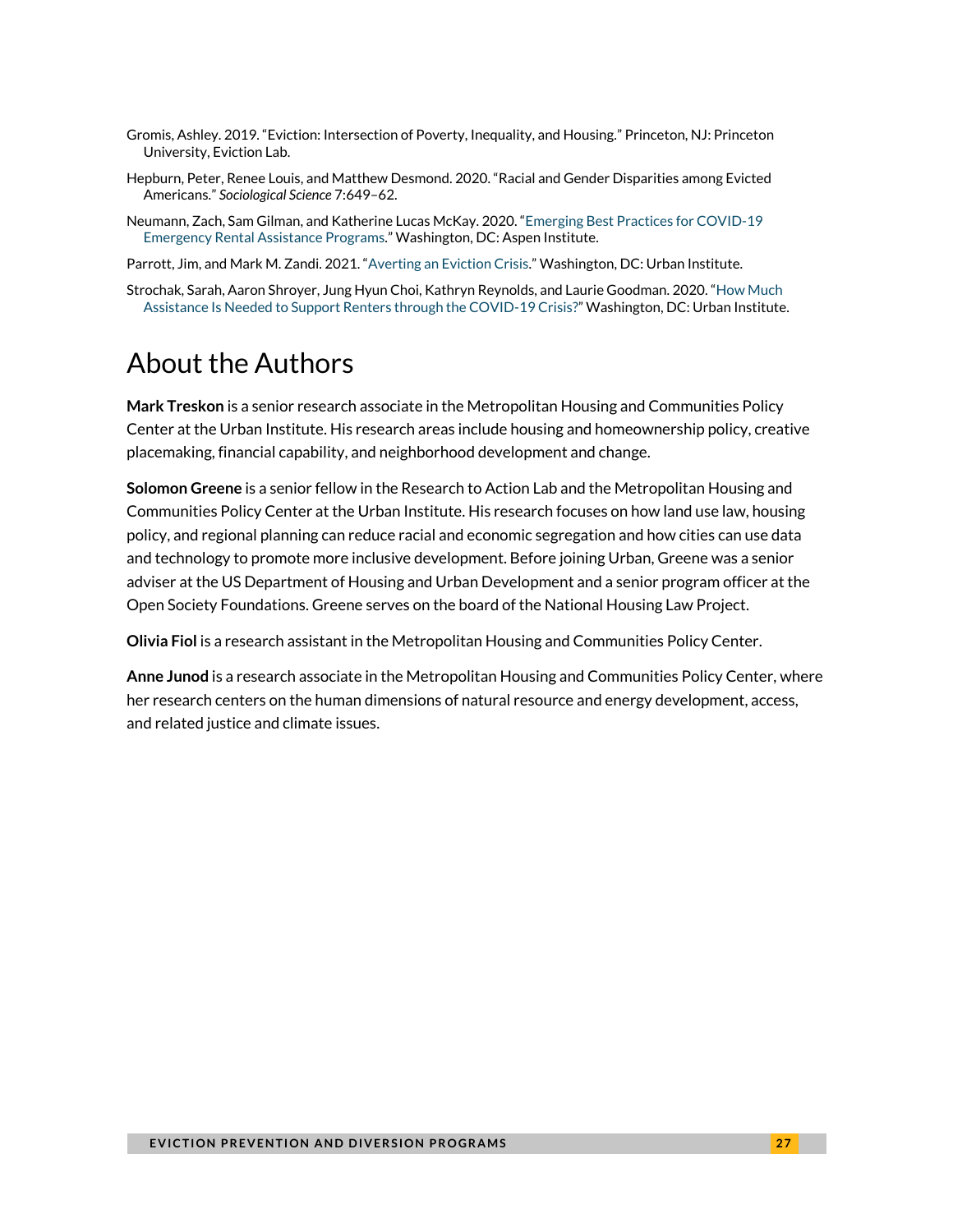- Gromis, Ashley. 2019. "Eviction: Intersection of Poverty, Inequality, and Housing." Princeton, NJ: Princeton University, Eviction Lab.
- Hepburn, Peter, Renee Louis, and Matthew Desmond. 2020. "Racial and Gender Disparities among Evicted Americans." *Sociological Science* 7:649–62.
- Neumann, Zach, Sam Gilman, and Katherine Lucas McKay. 2020. "[Emerging Best Practices for COVID-19](https://www.aspeninstitute.org/wp-content/uploads/2020/12/Aspen-CEDP-Rental-Assistance-Presentation.pdf)  [Emergency Rental Assistance Programs.](https://www.aspeninstitute.org/wp-content/uploads/2020/12/Aspen-CEDP-Rental-Assistance-Presentation.pdf)" Washington, DC: Aspen Institute.
- Parrott, Jim, and Mark M. Zandi. 2021. "[Averting an Eviction Crisis.](https://www.urban.org/research/publication/averting-eviction-crisis)" Washington, DC: Urban Institute.
- Strochak, Sarah, Aaron Shroyer, Jung Hyun Choi, Kathryn Reynolds, and Laurie Goodman. 2020. "[How Much](https://www.urban.org/research/publication/how-much-assistance-needed-support-renters-through-covid-19-crisis)  [Assistance Is Needed to Support Renters through the COVID-19 Crisis?](https://www.urban.org/research/publication/how-much-assistance-needed-support-renters-through-covid-19-crisis)" Washington, DC: Urban Institute.

## About the Authors

**Mark Treskon** is a senior research associate in the Metropolitan Housing and Communities Policy Center at the Urban Institute. His research areas include housing and homeownership policy, creative placemaking, financial capability, and neighborhood development and change.

**Solomon Greene** is a senior fellow in the Research to Action Lab and the Metropolitan Housing and Communities Policy Center at the Urban Institute. His research focuses on how land use law, housing policy, and regional planning can reduce racial and economic segregation and how cities can use data and technology to promote more inclusive development. Before joining Urban, Greene was a senior adviser at the US Department of Housing and Urban Development and a senior program officer at the Open Society Foundations. Greene serves on the board of the National Housing Law Project.

**Olivia Fiol** is a research assistant in the Metropolitan Housing and Communities Policy Center.

**Anne Junod** is a research associate in the Metropolitan Housing and Communities Policy Center, where her research centers on the human dimensions of natural resource and energy development, access, and related justice and climate issues.